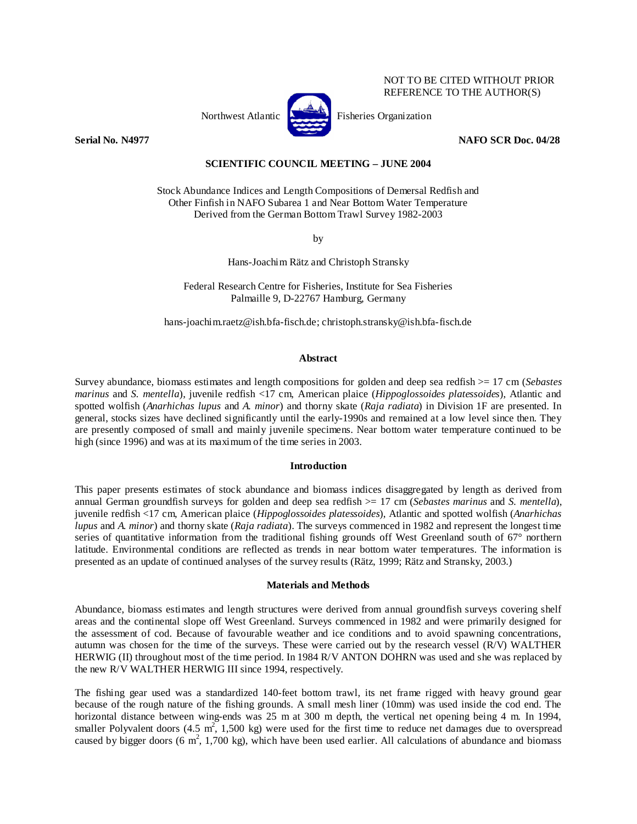

Northwest Atlantic **Northurse** Fisheries Organization

NOT TO BE CITED WITHOUT PRIOR REFERENCE TO THE AUTHOR(S)

**Serial No. N4977 NAFO SCR Doc. 04/28** 

# **SCIENTIFIC COUNCIL MEETING – JUNE 2004**

Stock Abundance Indices and Length Compositions of Demersal Redfish and Other Finfish in NAFO Subarea 1 and Near Bottom Water Temperature Derived from the German Bottom Trawl Survey 1982-2003

by

Hans-Joachim Rätz and Christoph Stransky

Federal Research Centre for Fisheries, Institute for Sea Fisheries Palmaille 9, D-22767 Hamburg, Germany

hans-joachim.raetz@ish.bfa-fisch.de; christoph.stransky@ish.bfa-fisch.de

## **Abstract**

Survey abundance, biomass estimates and length compositions for golden and deep sea redfish >= 17 cm (*Sebastes marinus* and *S. mentella*), juvenile redfish <17 cm, American plaice (*Hippoglossoides platessoides*), Atlantic and spotted wolfish (*Anarhichas lupus* and *A. minor*) and thorny skate (*Raja radiata*) in Division 1F are presented. In general, stocks sizes have declined significantly until the early-1990s and remained at a low level since then. They are presently composed of small and mainly juvenile specimens. Near bottom water temperature continued to be high (since 1996) and was at its maximum of the time series in 2003.

## **Introduction**

This paper presents estimates of stock abundance and biomass indices disaggregated by length as derived from annual German groundfish surveys for golden and deep sea redfish >= 17 cm (*Sebastes marinus* and *S. mentella*), juvenile redfish <17 cm, American plaice (*Hippoglossoides platessoides*), Atlantic and spotted wolfish (*Anarhichas lupus* and *A. minor*) and thorny skate (*Raja radiata*). The surveys commenced in 1982 and represent the longest time series of quantitative information from the traditional fishing grounds off West Greenland south of 67° northern latitude. Environmental conditions are reflected as trends in near bottom water temperatures. The information is presented as an update of continued analyses of the survey results (Rätz, 1999; Rätz and Stransky, 2003.)

## **Materials and Methods**

Abundance, biomass estimates and length structures were derived from annual groundfish surveys covering shelf areas and the continental slope off West Greenland. Surveys commenced in 1982 and were primarily designed for the assessment of cod. Because of favourable weather and ice conditions and to avoid spawning concentrations, autumn was chosen for the time of the surveys. These were carried out by the research vessel (R/V) WALTHER HERWIG (II) throughout most of the time period. In 1984 R/V ANTON DOHRN was used and she was replaced by the new R/V WALTHER HERWIG III since 1994, respectively.

The fishing gear used was a standardized 140-feet bottom trawl, its net frame rigged with heavy ground gear because of the rough nature of the fishing grounds. A small mesh liner (10mm) was used inside the cod end. The horizontal distance between wing-ends was 25 m at 300 m depth, the vertical net opening being 4 m. In 1994, smaller Polyvalent doors  $(4.5 \text{ m}^2, 1,500 \text{ kg})$  were used for the first time to reduce net damages due to overspread caused by bigger doors (6  $m^2$ , 1,700 kg), which have been used earlier. All calculations of abundance and biomass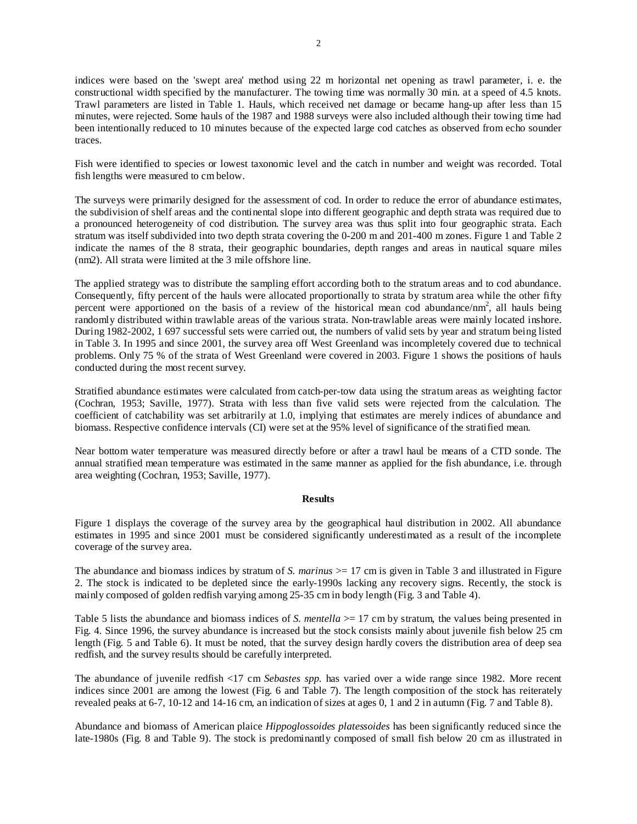indices were based on the 'swept area' method using 22 m horizontal net opening as trawl parameter, i. e. the constructional width specified by the manufacturer. The towing time was normally 30 min. at a speed of 4.5 knots. Trawl parameters are listed in Table 1. Hauls, which received net damage or became hang-up after less than 15 minutes, were rejected. Some hauls of the 1987 and 1988 surveys were also included although their towing time had been intentionally reduced to 10 minutes because of the expected large cod catches as observed from echo sounder traces.

Fish were identified to species or lowest taxonomic level and the catch in number and weight was recorded. Total fish lengths were measured to cm below.

The surveys were primarily designed for the assessment of cod. In order to reduce the error of abundance estimates, the subdivision of shelf areas and the continental slope into different geographic and depth strata was required due to a pronounced heterogeneity of cod distribution. The survey area was thus split into four geographic strata. Each stratum was itself subdivided into two depth strata covering the 0-200 m and 201-400 m zones. Figure 1 and Table 2 indicate the names of the 8 strata, their geographic boundaries, depth ranges and areas in nautical square miles (nm2). All strata were limited at the 3 mile offshore line.

The applied strategy was to distribute the sampling effort according both to the stratum areas and to cod abundance. Consequently, fifty percent of the hauls were allocated proportionally to strata by stratum area while the other fifty percent were apportioned on the basis of a review of the historical mean cod abundance/nm<sup>2</sup>, all hauls being randomly distributed within trawlable areas of the various strata. Non-trawlable areas were mainly located inshore. During 1982-2002, 1 697 successful sets were carried out, the numbers of valid sets by year and stratum being listed in Table 3. In 1995 and since 2001, the survey area off West Greenland was incompletely covered due to technical problems. Only 75 % of the strata of West Greenland were covered in 2003. Figure 1 shows the positions of hauls conducted during the most recent survey.

Stratified abundance estimates were calculated from catch-per-tow data using the stratum areas as weighting factor (Cochran, 1953; Saville, 1977). Strata with less than five valid sets were rejected from the calculation. The coefficient of catchability was set arbitrarily at 1.0, implying that estimates are merely indices of abundance and biomass. Respective confidence intervals (CI) were set at the 95% level of significance of the stratified mean.

Near bottom water temperature was measured directly before or after a trawl haul be means of a CTD sonde. The annual stratified mean temperature was estimated in the same manner as applied for the fish abundance, i.e. through area weighting (Cochran, 1953; Saville, 1977).

#### **Results**

Figure 1 displays the coverage of the survey area by the geographical haul distribution in 2002. All abundance estimates in 1995 and since 2001 must be considered significantly underestimated as a result of the incomplete coverage of the survey area.

The abundance and biomass indices by stratum of *S. marinus*  $> = 17$  cm is given in Table 3 and illustrated in Figure 2. The stock is indicated to be depleted since the early-1990s lacking any recovery signs. Recently, the stock is mainly composed of golden redfish varying among 25-35 cm in body length (Fig. 3 and Table 4).

Table 5 lists the abundance and biomass indices of *S. mentella* > 17 cm by stratum, the values being presented in Fig. 4. Since 1996, the survey abundance is increased but the stock consists mainly about juvenile fish below 25 cm length (Fig. 5 and Table 6). It must be noted, that the survey design hardly covers the distribution area of deep sea redfish, and the survey results should be carefully interpreted.

The abundance of juvenile redfish <17 cm *Sebastes spp.* has varied over a wide range since 1982. More recent indices since 2001 are among the lowest (Fig. 6 and Table 7). The length composition of the stock has reiterately revealed peaks at 6-7, 10-12 and 14-16 cm, an indication of sizes at ages 0, 1 and 2 in autumn (Fig. 7 and Table 8).

Abundance and biomass of American plaice *Hippoglossoides platessoides* has been significantly reduced since the late-1980s (Fig. 8 and Table 9). The stock is predominantly composed of small fish below 20 cm as illustrated in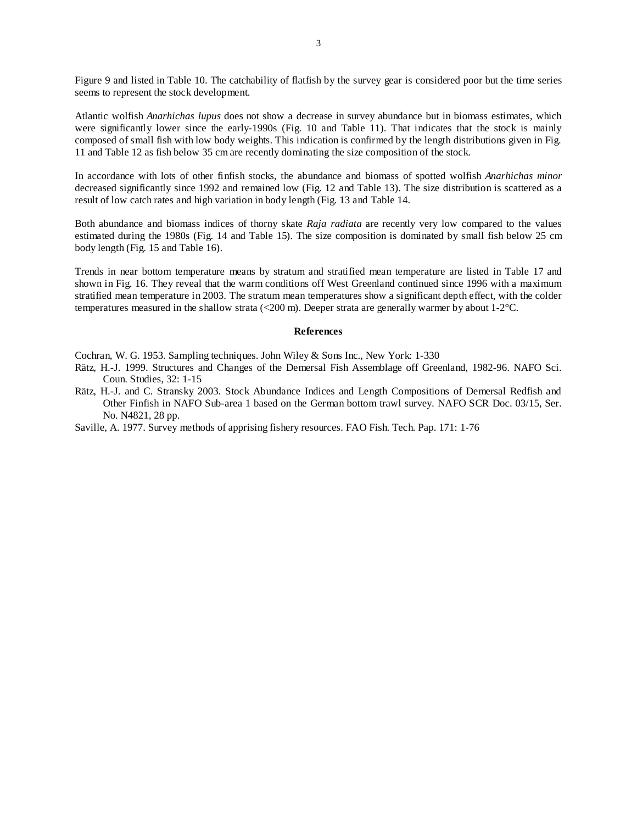Figure 9 and listed in Table 10. The catchability of flatfish by the survey gear is considered poor but the time series seems to represent the stock development.

Atlantic wolfish *Anarhichas lupus* does not show a decrease in survey abundance but in biomass estimates, which were significantly lower since the early-1990s (Fig. 10 and Table 11). That indicates that the stock is mainly composed of small fish with low body weights. This indication is confirmed by the length distributions given in Fig. 11 and Table 12 as fish below 35 cm are recently dominating the size composition of the stock.

In accordance with lots of other finfish stocks, the abundance and biomass of spotted wolfish *Anarhichas minor* decreased significantly since 1992 and remained low (Fig. 12 and Table 13). The size distribution is scattered as a result of low catch rates and high variation in body length (Fig. 13 and Table 14.

Both abundance and biomass indices of thorny skate *Raja radiata* are recently very low compared to the values estimated during the 1980s (Fig. 14 and Table 15). The size composition is dominated by small fish below 25 cm body length (Fig. 15 and Table 16).

Trends in near bottom temperature means by stratum and stratified mean temperature are listed in Table 17 and shown in Fig. 16. They reveal that the warm conditions off West Greenland continued since 1996 with a maximum stratified mean temperature in 2003. The stratum mean temperatures show a significant depth effect, with the colder temperatures measured in the shallow strata (<200 m). Deeper strata are generally warmer by about 1-2°C.

### **References**

Cochran, W. G. 1953. Sampling techniques. John Wiley & Sons Inc., New York: 1-330

- Rätz, H.-J. 1999. Structures and Changes of the Demersal Fish Assemblage off Greenland, 1982-96. NAFO Sci. Coun. Studies, 32: 1-15
- Rätz, H.-J. and C. Stransky 2003. Stock Abundance Indices and Length Compositions of Demersal Redfish and Other Finfish in NAFO Sub-area 1 based on the German bottom trawl survey. NAFO SCR Doc. 03/15, Ser. No. N4821, 28 pp.
- Saville, A. 1977. Survey methods of apprising fishery resources. FAO Fish. Tech. Pap. 171: 1-76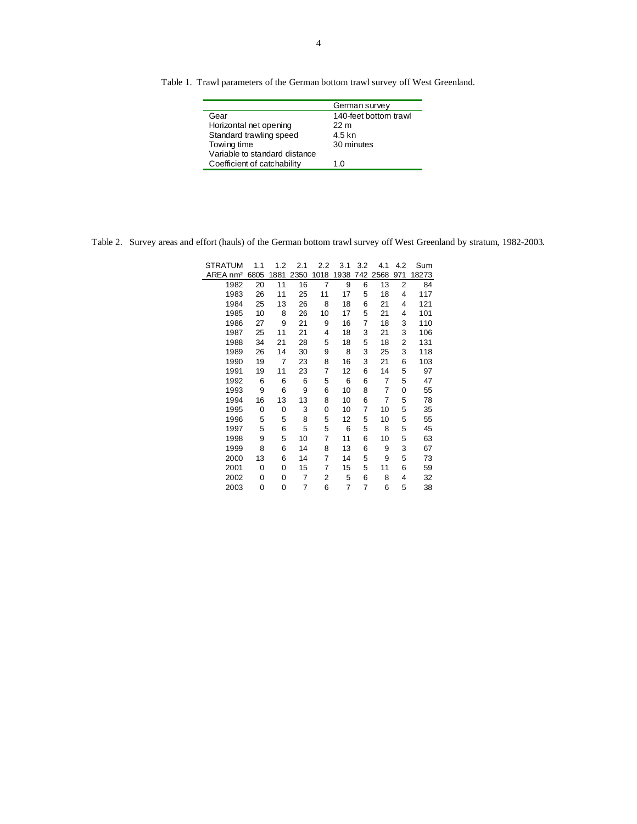| Table 1. Trawl parameters of the German bottom trawl survey off West Greenland. |
|---------------------------------------------------------------------------------|
|---------------------------------------------------------------------------------|

|                               | German survey         |
|-------------------------------|-----------------------|
| Gear                          | 140-feet bottom trawl |
| Horizontal net opening        | 22 <sub>m</sub>       |
| Standard trawling speed       | 4.5 kn                |
| Towing time                   | 30 minutes            |
| Variable to standard distance |                       |
| Coefficient of catchability   | 1.0                   |

Table 2. Survey areas and effort (hauls) of the German bottom trawl survey off West Greenland by stratum, 1982-2003.

| <b>STRATUM</b>       | 1.1  | 1.2  | 2.1            | 2.2  | 3.1  | 3.2 | 4.1  | 4.2            | Sum   |
|----------------------|------|------|----------------|------|------|-----|------|----------------|-------|
| AREA nm <sup>2</sup> | 6805 | 1881 | 2350           | 1018 | 1938 | 742 | 2568 | 971            | 18273 |
| 1982                 | 20   | 11   | 16             | 7    | 9    | 6   | 13   | $\overline{2}$ | 84    |
| 1983                 | 26   | 11   | 25             | 11   | 17   | 5   | 18   | 4              | 117   |
| 1984                 | 25   | 13   | 26             | 8    | 18   | 6   | 21   | 4              | 121   |
| 1985                 | 10   | 8    | 26             | 10   | 17   | 5   | 21   | 4              | 101   |
| 1986                 | 27   | 9    | 21             | 9    | 16   | 7   | 18   | 3              | 110   |
| 1987                 | 25   | 11   | 21             | 4    | 18   | 3   | 21   | 3              | 106   |
| 1988                 | 34   | 21   | 28             | 5    | 18   | 5   | 18   | 2              | 131   |
| 1989                 | 26   | 14   | 30             | 9    | 8    | 3   | 25   | 3              | 118   |
| 1990                 | 19   | 7    | 23             | 8    | 16   | 3   | 21   | 6              | 103   |
| 1991                 | 19   | 11   | 23             | 7    | 12   | 6   | 14   | 5              | 97    |
| 1992                 | 6    | 6    | 6              | 5    | 6    | 6   | 7    | 5              | 47    |
| 1993                 | 9    | 6    | 9              | 6    | 10   | 8   | 7    | 0              | 55    |
| 1994                 | 16   | 13   | 13             | 8    | 10   | 6   | 7    | 5              | 78    |
| 1995                 | 0    | 0    | 3              | 0    | 10   | 7   | 10   | 5              | 35    |
| 1996                 | 5    | 5    | 8              | 5    | 12   | 5   | 10   | 5              | 55    |
| 1997                 | 5    | 6    | 5              | 5    | 6    | 5   | 8    | 5              | 45    |
| 1998                 | 9    | 5    | 10             | 7    | 11   | 6   | 10   | 5              | 63    |
| 1999                 | 8    | 6    | 14             | 8    | 13   | 6   | 9    | 3              | 67    |
| 2000                 | 13   | 6    | 14             | 7    | 14   | 5   | 9    | 5              | 73    |
| 2001                 | 0    | 0    | 15             | 7    | 15   | 5   | 11   | 6              | 59    |
| 2002                 | 0    | 0    | $\overline{7}$ | 2    | 5    | 6   | 8    | 4              | 32    |
| 2003                 | 0    | 0    | 7              | 6    | 7    | 7   | 6    | 5              | 38    |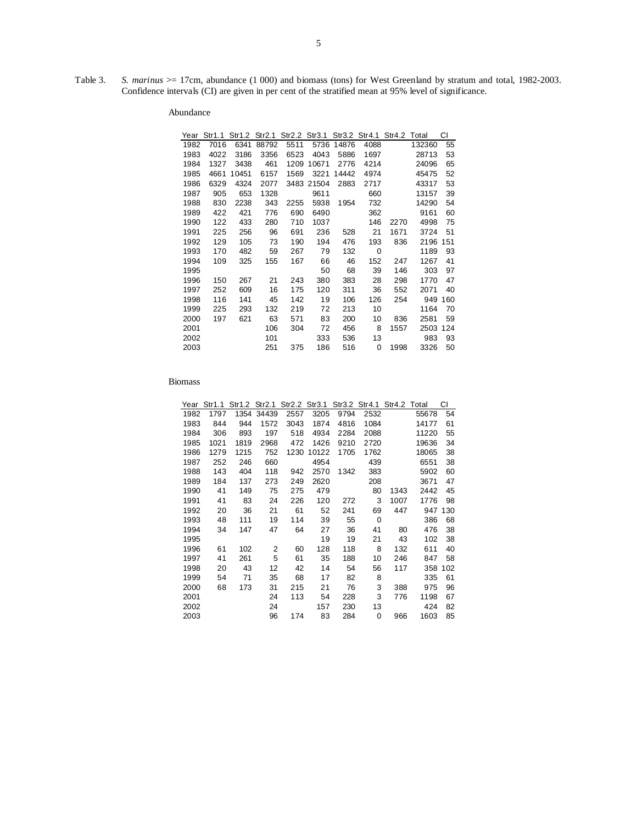Table 3. *S. marinus* > = 17cm, abundance (1 000) and biomass (tons) for West Greenland by stratum and total, 1982-2003. Confidence intervals (CI) are given in per cent of the stratified mean at 95% level of significance.

| Year | Str1.1 | Str1.2 | Str2.1 |      | Str2.2 Str3.1 |       | Str3.2 Str4.1 Str4.2 Total |      |        | СI  |
|------|--------|--------|--------|------|---------------|-------|----------------------------|------|--------|-----|
| 1982 | 7016   | 6341   | 88792  | 5511 | 5736          | 14876 | 4088                       |      | 132360 | 55  |
| 1983 | 4022   | 3186   | 3356   | 6523 | 4043          | 5886  | 1697                       |      | 28713  | 53  |
| 1984 | 1327   | 3438   | 461    | 1209 | 10671         | 2776  | 4214                       |      | 24096  | 65  |
| 1985 | 4661   | 10451  | 6157   | 1569 | 3221          | 14442 | 4974                       |      | 45475  | 52  |
| 1986 | 6329   | 4324   | 2077   |      | 3483 21504    | 2883  | 2717                       |      | 43317  | 53  |
| 1987 | 905    | 653    | 1328   |      | 9611          |       | 660                        |      | 13157  | 39  |
| 1988 | 830    | 2238   | 343    | 2255 | 5938          | 1954  | 732                        |      | 14290  | 54  |
| 1989 | 422    | 421    | 776    | 690  | 6490          |       | 362                        |      | 9161   | 60  |
| 1990 | 122    | 433    | 280    | 710  | 1037          |       | 146                        | 2270 | 4998   | 75  |
| 1991 | 225    | 256    | 96     | 691  | 236           | 528   | 21                         | 1671 | 3724   | 51  |
| 1992 | 129    | 105    | 73     | 190  | 194           | 476   | 193                        | 836  | 2196   | 151 |
| 1993 | 170    | 482    | 59     | 267  | 79            | 132   | 0                          |      | 1189   | 93  |
| 1994 | 109    | 325    | 155    | 167  | 66            | 46    | 152                        | 247  | 1267   | 41  |
| 1995 |        |        |        |      | 50            | 68    | 39                         | 146  | 303    | 97  |
| 1996 | 150    | 267    | 21     | 243  | 380           | 383   | 28                         | 298  | 1770   | 47  |
| 1997 | 252    | 609    | 16     | 175  | 120           | 311   | 36                         | 552  | 2071   | 40  |
| 1998 | 116    | 141    | 45     | 142  | 19            | 106   | 126                        | 254  | 949    | 160 |
| 1999 | 225    | 293    | 132    | 219  | 72            | 213   | 10                         |      | 1164   | 70  |
| 2000 | 197    | 621    | 63     | 571  | 83            | 200   | 10                         | 836  | 2581   | 59  |
| 2001 |        |        | 106    | 304  | 72            | 456   | 8                          | 1557 | 2503   | 124 |
| 2002 |        |        | 101    |      | 333           | 536   | 13                         |      | 983    | 93  |
| 2003 |        |        | 251    | 375  | 186           | 516   | 0                          | 1998 | 3326   | 50  |

| Year | Str1.1 |      | Str1.2 Str2.1 | Str2.2 Str3.1 |       |      | Str3.2 Str4.1 | Str4.2 Total |       | СI  |
|------|--------|------|---------------|---------------|-------|------|---------------|--------------|-------|-----|
| 1982 | 1797   | 1354 | 34439         | 2557          | 3205  | 9794 | 2532          |              | 55678 | 54  |
| 1983 | 844    | 944  | 1572          | 3043          | 1874  | 4816 | 1084          |              | 14177 | 61  |
| 1984 | 306    | 893  | 197           | 518           | 4934  | 2284 | 2088          |              | 11220 | 55  |
| 1985 | 1021   | 1819 | 2968          | 472           | 1426  | 9210 | 2720          |              | 19636 | 34  |
| 1986 | 1279   | 1215 | 752           | 1230          | 10122 | 1705 | 1762          |              | 18065 | 38  |
| 1987 | 252    | 246  | 660           |               | 4954  |      | 439           |              | 6551  | 38  |
| 1988 | 143    | 404  | 118           | 942           | 2570  | 1342 | 383           |              | 5902  | 60  |
| 1989 | 184    | 137  | 273           | 249           | 2620  |      | 208           |              | 3671  | 47  |
| 1990 | 41     | 149  | 75            | 275           | 479   |      | 80            | 1343         | 2442  | 45  |
| 1991 | 41     | 83   | 24            | 226           | 120   | 272  | 3             | 1007         | 1776  | 98  |
| 1992 | 20     | 36   | 21            | 61            | 52    | 241  | 69            | 447          | 947   | 130 |
| 1993 | 48     | 111  | 19            | 114           | 39    | 55   | 0             |              | 386   | 68  |
| 1994 | 34     | 147  | 47            | 64            | 27    | 36   | 41            | 80           | 476   | 38  |
| 1995 |        |      |               |               | 19    | 19   | 21            | 43           | 102   | 38  |
| 1996 | 61     | 102  | 2             | 60            | 128   | 118  | 8             | 132          | 611   | 40  |
| 1997 | 41     | 261  | 5             | 61            | 35    | 188  | 10            | 246          | 847   | 58  |
| 1998 | 20     | 43   | 12            | 42            | 14    | 54   | 56            | 117          | 358   | 102 |
| 1999 | 54     | 71   | 35            | 68            | 17    | 82   | 8             |              | 335   | 61  |
| 2000 | 68     | 173  | 31            | 215           | 21    | 76   | 3             | 388          | 975   | 96  |
| 2001 |        |      | 24            | 113           | 54    | 228  | 3             | 776          | 1198  | 67  |
| 2002 |        |      | 24            |               | 157   | 230  | 13            |              | 424   | 82  |
| 2003 |        |      | 96            | 174           | 83    | 284  | 0             | 966          | 1603  | 85  |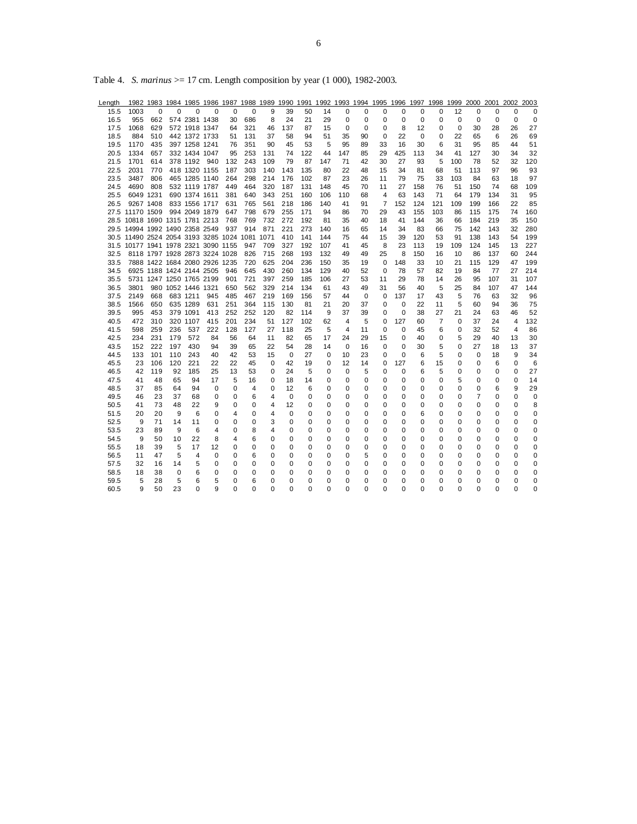| Length |                                               |                               |             |                    |             |          | 1982 1983 1984 1985 1986 1987 1988 1989 1990 1991 1992 1993 1994 1995 1996 1997 1998 |          |          |          |          |                |    |             |             |          |     |             | 1999 2000 2001 2002 |          |                | 2003        |
|--------|-----------------------------------------------|-------------------------------|-------------|--------------------|-------------|----------|--------------------------------------------------------------------------------------|----------|----------|----------|----------|----------------|----|-------------|-------------|----------|-----|-------------|---------------------|----------|----------------|-------------|
| 15.5   | 1003                                          | $\Omega$                      | $\Omega$    | $\Omega$           | $\Omega$    | 0        | 0                                                                                    | 9        | 39       | 50       | 14       | 0              | 0  | 0           | 0           | 0        | 0   | 12          | 0                   | 0        | 0              | $\Omega$    |
| 16.5   | 955                                           | 662                           |             | 574 2381 1438      |             | 30       | 686                                                                                  | 8        | 24       | 21       | 29       | 0              | 0  | 0           | $\mathbf 0$ | 0        | 0   | $\mathbf 0$ | 0                   | 0        | $\mathbf 0$    | 0           |
| 17.5   | 1068                                          | 629                           |             | 572 1918 1347      |             | 64       | 321                                                                                  | 46       | 137      | 87       | 15       | 0              | 0  | 0           | 8           | 12       | 0   | $\mathbf 0$ | 30                  | 28       | 26             | 27          |
| 18.5   | 884                                           | 510                           |             | 442 1372 1733      |             | 51       | 131                                                                                  | 37       | 58       | 94       | 51       | 35             | 90 | $\mathbf 0$ | 22          | 0        | 0   | 22          | 65                  | 6        | 26             | 69          |
| 19.5   | 1170                                          | 435                           |             | 397 1258 1241      |             | 76       | 351                                                                                  | 90       | 45       | 53       | 5        | 95             | 89 | 33          | 16          | 30       | 6   | 31          | 95                  | 85       | 44             | 51          |
| 20.5   | 1334                                          | 657                           |             | 332 1434 1047      |             | 95       | 253                                                                                  | 131      | 74       | 122      | 44       | 147            | 85 | 29          | 425         | 113      | 34  | 41          | 127                 | 30       | 34             | 32          |
| 21.5   | 1701                                          | 614                           |             | 378 1192           | 940         | 132      | 243                                                                                  | 109      | 79       | 87       | 147      | 71             | 42 | 30          | 27          | 93       | 5   | 100         | 78                  | 52       | 32             | 120         |
| 22.5   | 2031                                          | 770                           |             | 418 1320 1155      |             | 187      | 303                                                                                  | 140      | 143      | 135      | 80       | 22             | 48 | 15          | 34          | 81       | 68  | 51          | 113                 | 97       | 96             | 93          |
| 23.5   | 3487                                          | 806                           |             | 465 1285 1140      |             | 264      | 298                                                                                  | 214      | 176      | 102      | 87       | 23             | 26 | 11          | 79          | 75       | 33  | 103         | 84                  | 63       | 18             | 97          |
| 24.5   | 4690                                          | 808                           |             | 532 1119 1787      |             | 449      | 464                                                                                  | 320      | 187      | 131      | 148      | 45             | 70 | 11          | 27          | 158      | 76  | 51          | 150                 | 74       | 68             | 109         |
| 25.5   |                                               | 6049 1231                     |             | 690 1374 1611      |             | 381      | 640                                                                                  | 343      | 251      | 160      | 106      | 110            | 68 | 4           | 63          | 143      | 71  | 64          | 179                 | 134      | 31             | 95          |
| 26.5   |                                               | 9267 1408                     |             | 833 1556 1717      |             | 631      | 765                                                                                  | 561      | 218      | 186      | 140      | 41             | 91 | 7           | 152         | 124      | 121 | 109         | 199                 | 166      | 22             | 85          |
|        | 27.5 11170 1509                               |                               |             | 994 2049 1879      |             | 647      | 798                                                                                  | 679      | 255      | 171      | 94       | 86             | 70 | 29          | 43          | 155      | 103 | 86          | 115                 | 175      | 74             | 160         |
|        | 28.5 10818 1690 1315 1781 2213                |                               |             |                    |             | 768      | 769                                                                                  | 732      | 272      | 192      | 81       | 35             | 40 | 18          | 41          | 144      | 36  | 66          | 184                 | 219      | 35             | 150         |
|        | 29.5 14994 1992 1490 2358 2549                |                               |             |                    |             | 937      | 914                                                                                  | 871      | 221      | 273      | 140      | 16             | 65 | 14          | 34          | 83       | 66  | 75          | 142                 | 143      | 32             | 280         |
|        | 30.5 11490 2524 2054 3193 3285 1024 1081 1071 |                               |             |                    |             |          |                                                                                      |          | 410      | 141      | 144      | 75             | 44 | 15          | 39          | 120      | 53  | 91          | 138                 | 143      | 54             | 199         |
|        | 31.5 10177 1941 1978 2321 3090 1155           |                               |             |                    |             |          | 947                                                                                  | 709      | 327      | 192      | 107      | 41             | 45 | 8           | 23          | 113      | 19  | 109         | 124                 | 145      | 13             | 227         |
| 32.5   |                                               | 8118 1797 1928 2873 3224 1028 |             |                    |             |          | 826                                                                                  | 715      | 268      | 193      | 132      | 49             | 49 | 25          | 8           | 150      | 16  | 10          | 86                  | 137      | 60             | 244         |
| 33.5   |                                               | 7888 1422 1684 2080 2926 1235 |             |                    |             |          | 720                                                                                  | 625      | 204      | 236      | 150      | 35             | 19 | 0           | 148         | 33       | 10  | 21          | 115                 | 129      | 47             | 199         |
| 34.5   |                                               | 6925 1188 1424 2144 2505      |             |                    |             | 946      | 645                                                                                  | 430      | 260      | 134      | 129      | 40             | 52 | 0           | 78          | 57       | 82  | 19          | 84                  | 77       | 27             | 214         |
| 35.5   |                                               | 5731 1247 1250 1765 2199      |             |                    |             | 901      | 721                                                                                  | 397      | 259      | 185      | 106      | 27             | 53 | 11          | 29          | 78       | 14  | 26          | 95                  | 107      | 31             | 107         |
| 36.5   | 3801                                          |                               |             | 980 1052 1446 1321 |             | 650      | 562                                                                                  | 329      | 214      | 134      | 61       | 43             | 49 | 31          | 56          | 40       | 5   | 25          | 84                  | 107      | 47             | 144         |
| 37.5   | 2149                                          | 668                           |             | 683 1211           | 945         | 485      | 467                                                                                  | 219      | 169      | 156      | 57       | 44             | 0  | 0           | 137         | 17       | 43  | 5           | 76                  | 63       | 32             | 96          |
| 38.5   | 1566                                          | 650                           |             | 635 1289           | 631         | 251      | 364                                                                                  | 115      | 130      | 81       | 21       | 20             | 37 | 0           | $\Omega$    | 22       | 11  | 5           | 60                  | 94       | 36             | 75          |
| 39.5   | 995                                           | 453                           |             | 379 1091           | 413         | 252      | 252                                                                                  | 120      | 82       | 114      | 9        | 37             | 39 | 0           | $\mathbf 0$ | 38       | 27  | 21          | 24                  | 63       | 46             | 52          |
| 40.5   | 472                                           | 310                           |             | 320 1107           | 415         | 201      | 234                                                                                  | 51       | 127      | 102      | 62       | $\overline{4}$ | 5  | $\mathbf 0$ | 127         | 60       | 7   | $\Omega$    | 37                  | 24       | 4              | 132         |
| 41.5   | 598                                           | 259                           | 236         | 537                | 222         | 128      | 127                                                                                  | 27       | 118      | 25       | 5        | $\overline{4}$ | 11 | $\Omega$    | $\Omega$    | 45       | 6   | 0           | 32                  | 52       | $\overline{4}$ | 86          |
| 42.5   | 234                                           | 231                           | 179         | 572                | 84          | 56       | 64                                                                                   | 11       | 82       | 65       | 17       | 24             | 29 | 15          | $\mathbf 0$ | 40       | 0   | 5           | 29                  | 40       | 13             | 30          |
| 43.5   | 152                                           | 222                           | 197         | 430                | 94          | 39       | 65                                                                                   | 22       | 54       | 28       | 14       | $\Omega$       | 16 | $\Omega$    | $\Omega$    | 30       | 5   | $\Omega$    | 27                  | 18       | 13             | 37          |
| 44.5   | 133                                           | 101                           | 110         | 243                | 40          | 42       | 53                                                                                   | 15       | 0        | 27       | $\Omega$ | 10             | 23 | 0           | $\Omega$    | 6        | 5   | $\Omega$    | 0                   | 18       | 9              | 34          |
| 45.5   | 23                                            | 106                           | 120         | 221                | 22          | 22       | 45                                                                                   | $\Omega$ | 42       | 19       | 0        | 12             | 14 | 0           | 127         | 6        | 15  | 0           | 0                   | 6        | 0              | 6           |
| 46.5   | 42                                            | 119                           | 92          | 185                | 25          | 13       | 53                                                                                   | 0        | 24       | 5        | 0        | 0              | 5  | 0           | $\mathbf 0$ | 6        | 5   | 0           | 0                   | 0        | 0              | 27          |
| 47.5   | 41                                            | 48                            | 65          | 94                 | 17          | 5        | 16                                                                                   | 0        | 18       | 14       | 0        | 0              | 0  | 0           | $\mathbf 0$ | 0        | 0   | 5           | 0                   | 0        | 0              | 14          |
| 48.5   | 37                                            | 85                            | 64          | 94                 | 0           | 0        | 4                                                                                    | $\Omega$ | 12       | 6        | 0        | 0              | 0  | 0           | 0           | 0        | 0   | 0           | 0                   | 6        | 9              | 29          |
| 49.5   | 46                                            | 23                            | 37          | 68                 | 0           | 0        | 6                                                                                    | 4        | 0        | 0        | $\Omega$ | 0              | 0  | 0           | 0           | 0        | 0   | 0           | 7                   | 0        | 0              | $\mathbf 0$ |
| 50.5   | 41                                            | 73                            | 48          | 22                 | 9           | $\Omega$ | 0                                                                                    | 4        | 12       | 0        | $\Omega$ | $\Omega$       | 0  | 0           | $\Omega$    | $\Omega$ | 0   | 0           | $\Omega$            | $\Omega$ | 0              | 8           |
| 51.5   | 20                                            | 20                            | 9           | 6                  | 0           | 4        | 0                                                                                    | 4        | 0        | 0        | $\Omega$ | 0              | 0  | 0           | 0           | 6        | 0   | 0           | 0                   | 0        | 0              | 0           |
| 52.5   | 9                                             | 71                            | 14          | 11                 | 0           | $\Omega$ | 0                                                                                    | 3        | 0        | 0        | $\Omega$ | 0              | 0  | 0           | $\Omega$    | 0        | 0   | $\Omega$    | 0                   | 0        | 0              | 0           |
| 53.5   | 23                                            | 89                            | 9           | 6                  | 4           | $\Omega$ | 8                                                                                    | 4        | $\Omega$ | $\Omega$ | 0        | 0              | 0  | 0           | $\Omega$    | $\Omega$ | 0   | $\Omega$    | 0                   | 0        | 0              | 0           |
| 54.5   | 9                                             | 50                            | 10          | 22                 | 8           | 4        | 6                                                                                    | $\Omega$ | $\Omega$ | $\Omega$ | $\Omega$ | $\Omega$       | 0  | 0           | $\Omega$    | $\Omega$ | 0   | $\Omega$    | $\Omega$            | 0        | $\Omega$       | 0           |
| 55.5   | 18                                            | 39                            | 5           | 17                 | 12          | 0        | 0                                                                                    | 0        | 0        | 0        | 0        | 0              | 0  | 0           | 0           | 0        | 0   | 0           | 0                   | 0        | 0              | 0           |
| 56.5   | 11                                            | 47                            | 5           | 4                  | $\mathbf 0$ | $\Omega$ | 6                                                                                    | 0        | 0        | 0        | $\Omega$ | 0              | 5  | 0           | $\Omega$    | 0        | 0   | 0           | 0                   | 0        | 0              | 0           |
| 57.5   | 32                                            | 16                            | 14          | 5                  | 0           | 0        | 0                                                                                    | 0        | 0        | 0        | 0        | 0              | 0  | 0           | 0           | 0        | 0   | 0           | 0                   | 0        | 0              | 0           |
| 58.5   | 18                                            | 38                            | $\mathbf 0$ | 6                  | 0           | $\Omega$ | 0                                                                                    | 0        | 0        | 0        | 0        | 0              | 0  | 0           | $\Omega$    | 0        | 0   | 0           | 0                   | 0        | 0              | 0           |
| 59.5   | 5                                             | 28                            | 5           | 6                  | 5           | 0        | 6                                                                                    | 0        | 0        | 0        | $\Omega$ | 0              | 0  | 0           | 0           | 0        | 0   | 0           | 0                   | 0        | 0              | 0           |
| 60.5   | 9                                             | 50                            | 23          | $\Omega$           | 9           | $\Omega$ | 0                                                                                    | 0        | 0        | 0        | $\Omega$ | $\Omega$       | 0  | 0           | $\Omega$    | $\Omega$ | 0   | 0           | $\Omega$            | $\Omega$ | 0              | 0           |

Table 4. *S. marinus* >= 17 cm. Length composition by year (1 000), 1982-2003.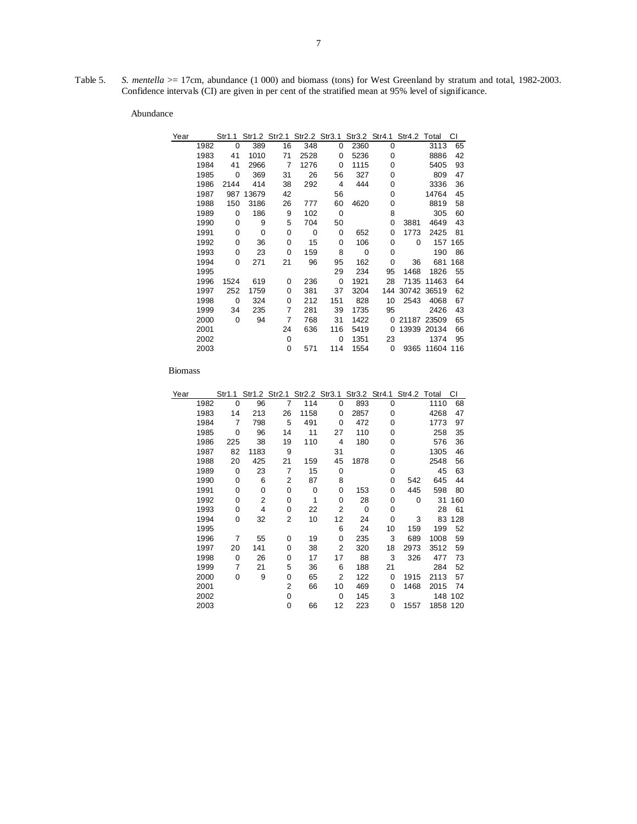Table 5. *S. mentella* > 17cm, abundance (1 000) and biomass (tons) for West Greenland by stratum and total, 1982-2003. Confidence intervals (CI) are given in per cent of the stratified mean at 95% level of significance.

| Year |      | Str1.1   |       | Str1.2 Str2.1 |      | Str2.2 Str3.1  |      |          | Str3.2 Str4.1 Str4.2 Total |             | СI  |
|------|------|----------|-------|---------------|------|----------------|------|----------|----------------------------|-------------|-----|
|      | 1982 | 0        | 389   | 16            | 348  | 0              | 2360 | 0        |                            | 3113        | 65  |
|      | 1983 | 41       | 1010  | 71            | 2528 | $\Omega$       | 5236 | 0        |                            | 8886        | 42  |
|      | 1984 | 41       | 2966  | 7             | 1276 | 0              | 1115 | 0        |                            | 5405        | 93  |
|      | 1985 | 0        | 369   | 31            | 26   | 56             | 327  | 0        |                            | 809         | 47  |
|      | 1986 | 2144     | 414   | 38            | 292  | $\overline{4}$ | 444  | 0        |                            | 3336        | 36  |
|      | 1987 | 987      | 13679 | 42            |      | 56             |      | 0        |                            | 14764       | 45  |
|      | 1988 | 150      | 3186  | 26            | 777  | 60             | 4620 | 0        |                            | 8819        | 58  |
|      | 1989 | $\Omega$ | 186   | 9             | 102  | $\mathbf 0$    |      | 8        |                            | 305         | 60  |
|      | 1990 | 0        | 9     | 5             | 704  | 50             |      | 0        | 3881                       | 4649        | 43  |
|      | 1991 | 0        | 0     | 0             | 0    | $\Omega$       | 652  | 0        | 1773                       | 2425        | 81  |
|      | 1992 | 0        | 36    | 0             | 15   | $\Omega$       | 106  | 0        | $\Omega$                   | 157         | 165 |
|      | 1993 | 0        | 23    | 0             | 159  | 8              | 0    | 0        |                            | 190         | 86  |
|      | 1994 | 0        | 271   | 21            | 96   | 95             | 162  | 0        | 36                         | 681         | 168 |
|      | 1995 |          |       |               |      | 29             | 234  | 95       | 1468                       | 1826        | 55  |
|      | 1996 | 1524     | 619   | 0             | 236  | 0              | 1921 | 28       | 7135                       | 11463       | 64  |
|      | 1997 | 252      | 1759  | 0             | 381  | 37             | 3204 | 144      |                            | 30742 36519 | 62  |
|      | 1998 | 0        | 324   | 0             | 212  | 151            | 828  | 10       | 2543                       | 4068        | 67  |
|      | 1999 | 34       | 235   | 7             | 281  | 39             | 1735 | 95       |                            | 2426        | 43  |
|      | 2000 | 0        | 94    | 7             | 768  | 31             | 1422 | $\Omega$ |                            | 21187 23509 | 65  |
|      | 2001 |          |       | 24            | 636  | 116            | 5419 | 0        |                            | 13939 20134 | 66  |
|      | 2002 |          |       | 0             |      | $\Omega$       | 1351 | 23       |                            | 1374        | 95  |
|      | 2003 |          |       | 0             | 571  | 114            | 1554 | 0        | 9365                       | 11604       | 116 |
|      |      |          |       |               |      |                |      |          |                            |             |     |

| Year |      | Str1.1      |      | Str1.2 Str2.1  |      | Str2.2 Str3.1 |             | Str3.2 Str4.1 | Str4.2 Total |          | СI  |
|------|------|-------------|------|----------------|------|---------------|-------------|---------------|--------------|----------|-----|
|      | 1982 | $\mathbf 0$ | 96   | $\overline{7}$ | 114  | 0             | 893         | 0             |              | 1110     | 68  |
|      | 1983 | 14          | 213  | 26             | 1158 | 0             | 2857        | 0             |              | 4268     | 47  |
|      | 1984 | 7           | 798  | 5              | 491  | 0             | 472         | 0             |              | 1773     | 97  |
|      | 1985 | 0           | 96   | 14             | 11   | 27            | 110         | 0             |              | 258      | 35  |
|      | 1986 | 225         | 38   | 19             | 110  | 4             | 180         | 0             |              | 576      | 36  |
|      | 1987 | 82          | 1183 | 9              |      | 31            |             | 0             |              | 1305     | 46  |
|      | 1988 | 20          | 425  | 21             | 159  | 45            | 1878        | 0             |              | 2548     | 56  |
|      | 1989 | 0           | 23   | 7              | 15   | 0             |             | 0             |              | 45       | 63  |
|      | 1990 | 0           | 6    | 2              | 87   | 8             |             | 0             | 542          | 645      | 44  |
|      | 1991 | 0           | 0    | 0              | 0    | 0             | 153         | 0             | 445          | 598      | 80  |
|      | 1992 | 0           | 2    | 0              | 1    | 0             | 28          | 0             | 0            | 31       | 160 |
|      | 1993 | 0           | 4    | 0              | 22   | 2             | $\mathbf 0$ | 0             |              | 28       | 61  |
|      | 1994 | 0           | 32   | 2              | 10   | 12            | 24          | 0             | 3            | 83       | 128 |
|      | 1995 |             |      |                |      | 6             | 24          | 10            | 159          | 199      | 52  |
|      | 1996 | 7           | 55   | 0              | 19   | 0             | 235         | 3             | 689          | 1008     | 59  |
|      | 1997 | 20          | 141  | 0              | 38   | 2             | 320         | 18            | 2973         | 3512     | 59  |
|      | 1998 | $\Omega$    | 26   | 0              | 17   | 17            | 88          | 3             | 326          | 477      | 73  |
|      | 1999 | 7           | 21   | 5              | 36   | 6             | 188         | 21            |              | 284      | 52  |
|      | 2000 | 0           | 9    | 0              | 65   | 2             | 122         | 0             | 1915         | 2113     | 57  |
|      | 2001 |             |      | 2              | 66   | 10            | 469         | 0             | 1468         | 2015     | 74  |
|      | 2002 |             |      | 0              |      | 0             | 145         | 3             |              | 148      | 102 |
|      | 2003 |             |      | 0              | 66   | 12            | 223         | 0             | 1557         | 1858 120 |     |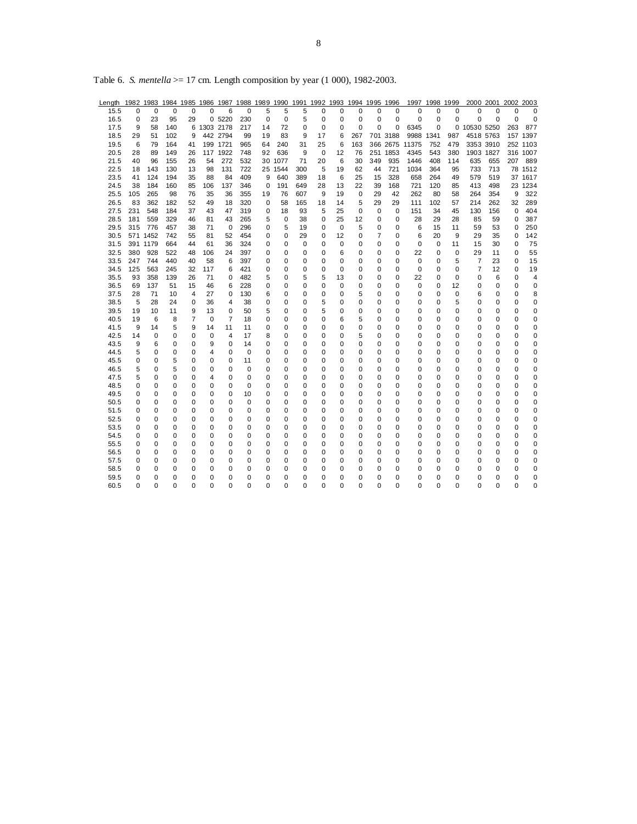| Length       |          |                 |            |          |             |          |            |                  |             |          | 1982 1983 1984 1985 1986 1987 1988 1989 1990 1991 1992 1993 1994 1995 1996 |             |          |               |          |                | 1997 1998 1999 |          |                | 2000 2001 | 2002     | 2003     |
|--------------|----------|-----------------|------------|----------|-------------|----------|------------|------------------|-------------|----------|----------------------------------------------------------------------------|-------------|----------|---------------|----------|----------------|----------------|----------|----------------|-----------|----------|----------|
| 15.5         | $\Omega$ | $\Omega$        | $\Omega$   | $\Omega$ | $\Omega$    | 6        | 0          | 5                | 5           | 5        | $\Omega$                                                                   | 0           | $\Omega$ | $\Omega$      | $\Omega$ | $\Omega$       | $\Omega$       | $\Omega$ | $\Omega$       | 0         | 0        | $\Omega$ |
| 16.5         | 0        | 23              | 95         | 29       |             | 0 5220   | 230        | 0                | 0           | 5        | 0                                                                          | 0           | 0        | 0             | 0        | 0              | 0              | 0        | 0              | 0         | 0        | 0        |
| 17.5         | 9        | 58              | 140        | 6        | 1303 2178   |          | 217        | 14               | 72          | 0        | 0                                                                          | 0           | $\Omega$ | 0             | 0        | 6345           | 0              |          | 0 10530 5250   |           | 263      | 877      |
| 18.5         | 29       | 51              | 102        | 9        |             | 442 2794 | 99         | 19               | 83          | 9        | 17                                                                         | 6           | 267      |               | 701 3188 | 9988           | 1341           | 987      | 4518 5763      |           |          | 157 1397 |
| 19.5         | 6        | 79              | 164        | 41       |             | 199 1721 | 965        | 64               | 240         | 31       | 25                                                                         | 6           | 163      |               |          | 366 2675 11375 | 752            | 479      | 3353 3910      |           |          | 252 1103 |
| 20.5         | 28       | 89              | 149        | 26       |             | 117 1922 | 748        | 92               | 636         | 9        | 0                                                                          | 12          | 76       |               | 251 1853 | 4345           | 543            | 380      | 1903 1827      |           |          | 316 1007 |
| 21.5         | 40       | 96              | 155        | 26       | 54          | 272      | 532        |                  | 30 1077     | 71       | 20                                                                         | 6           | 30       | 349           | 935      | 1446           | 408            | 114      | 635            | 655       | 207      | 889      |
| 22.5         | 18       | 143             | 130        | 13       | 98          | 131      | 722        |                  | 25 1544     | 300      | 5                                                                          | 19          | 62       | 44            | 721      | 1034           | 364            | 95       | 733            | 713       | 78       | 1512     |
| 23.5         | 41       | 124             | 194        | 35       | 88          | 84       | 409        | 9                | 640         | 389      | 18                                                                         | 6           | 25       | 15            | 328      | 658            | 264            | 49       | 579            | 519       |          | 37 1617  |
| 24.5         | 38       | 184             | 160        | 85       | 106         | 137      | 346        | $\mathbf 0$      | 191         | 649      | 28                                                                         | 13          | 22       | 39            | 168      | 721            | 120            | 85       | 413            | 498       |          | 23 1234  |
| 25.5         | 105      | 265             | 98         | 76       | 35          | 36       | 355        | 19               | 76          | 607      | 9                                                                          | 19          | 0        | 29            | 42       | 262            | 80             | 58       | 264            | 354       | 9        | 322      |
| 26.5         | 83       | 362             | 182        | 52       | 49          | 18       | 320        | 0                | 58          | 165      | 18                                                                         | 14          | 5        | 29            | 29       | 111            | 102            | 57       | 214            | 262       | 32       | 289      |
| 27.5         | 231      | 548             | 184        | 37       | 43          | 47       | 319        | 0                | 18          | 93       | 5                                                                          | 25          | 0        | 0             | 0        | 151            | 34             | 45       | 130            | 156       | 0        | 404      |
| 28.5         | 181      | 559             | 329        | 46       | 81          | 43       | 265        | 5                | $\mathbf 0$ | 38       | 0                                                                          | 25          | 12       | 0             | 0        | 28             | 29             | 28       | 85             | 59        | 0        | 387      |
| 29.5         | 315      | 776             | 457        | 38       | 71          | 0        | 296        | 0                | 5           | 19       | 0                                                                          | $\mathbf 0$ | 5        | 0             | 0        | 6              | 15             | 11       | 59             | 53        | 0        | 250      |
| 30.5         |          | 571 1452        | 742        | 55       | 81          | 52       | 454        | 0                | 0           | 29       | 0                                                                          | 12          | 0        | 7             | 0        | 6              | 20             | 9        | 29             | 35        | 0        | 142      |
| 31.5<br>32.5 | 380      | 391 1179<br>928 | 664<br>522 | 44<br>48 | 61<br>106   | 36<br>24 | 324<br>397 | 0<br>$\mathbf 0$ | 0<br>0      | 0<br>0   | 0<br>0                                                                     | 0<br>6      | 0<br>0   | 0<br>$\Omega$ | 0<br>0   | 0<br>22        | 0<br>0         | 11<br>0  | 15<br>29       | 30<br>11  | 0<br>0   | 75<br>55 |
| 33.5         | 247      | 744             | 440        | 40       | 58          | 6        | 397        | 0                | 0           | 0        | 0                                                                          | 0           | 0        | 0             | 0        | 0              | 0              | 5        | $\overline{7}$ | 23        | 0        | 15       |
| 34.5         | 125      | 563             | 245        | 32       | 117         | 6        | 421        | 0                | 0           | 0        | 0                                                                          | 0           | 0        | 0             | 0        | 0              | 0              | 0        | 7              | 12        | 0        | 19       |
| 35.5         | 93       | 358             | 139        | 26       | 71          | 0        | 482        | 5                | 0           | 5        | 5                                                                          | 13          | 0        | 0             | 0        | 22             | 0              | 0        | 0              | 6         | 0        | 4        |
| 36.5         | 69       | 137             | 51         | 15       | 46          | 6        | 228        | 0                | 0           | 0        | $\Omega$                                                                   | 0           | 0        | 0             | 0        | $\Omega$       | 0              | 12       | 0              | 0         | 0        | 0        |
| 37.5         | 28       | 71              | 10         | 4        | 27          | 0        | 130        | 6                | $\Omega$    | $\Omega$ | 0                                                                          | 0           | 5        | $\Omega$      | 0        | 0              | $\Omega$       | 0        | 6              | 0         | 0        | 8        |
| 38.5         | 5        | 28              | 24         | 0        | 36          | 4        | 38         | 0                | 0           | 0        | 5                                                                          | 0           | 0        | 0             | 0        | 0              | 0              | 5        | 0              | 0         | $\Omega$ | 0        |
| 39.5         | 19       | 10              | 11         | 9        | 13          | 0        | 50         | 5                | 0           | 0        | 5                                                                          | 0           | 0        | 0             | 0        | 0              | 0              | 0        | 0              | 0         | 0        | 0        |
| 40.5         | 19       | 6               | 8          | 7        | $\mathbf 0$ | 7        | 18         | 0                | 0           | $\Omega$ | 0                                                                          | 6           | 5        | 0             | 0        | 0              | $\Omega$       | $\Omega$ | 0              | 0         | $\Omega$ | 0        |
| 41.5         | 9        | 14              | 5          | 9        | 14          | 11       | 11         | 0                | 0           | 0        | 0                                                                          | 0           | 0        | 0             | 0        | 0              | 0              | 0        | 0              | 0         | 0        | 0        |
| 42.5         | 14       | 0               | 0          | 0        | 0           | 4        | 17         | 8                | 0           | 0        | 0                                                                          | 0           | 5        | 0             | 0        | 0              | 0              | 0        | 0              | 0         | 0        | 0        |
| 43.5         | 9        | 6               | 0          | 0        | 9           | 0        | 14         | $\mathbf 0$      | 0           | 0        | 0                                                                          | 0           | 0        | 0             | 0        | 0              | 0              | 0        | 0              | 0         | 0        | 0        |
| 44.5         | 5        | 0               | 0          | 0        | 4           | 0        | 0          | 0                | 0           | 0        | 0                                                                          | 0           | 0        | $\Omega$      | 0        | 0              | 0              | 0        | 0              | 0         | 0        | 0        |
| 45.5         | 0        | $\Omega$        | 5          | 0        | $\Omega$    | 0        | 11         | 0                | $\Omega$    | $\Omega$ | 0                                                                          | 0           | 0        | $\Omega$      | 0        | 0              | $\Omega$       | $\Omega$ | 0              | 0         | 0        | 0        |
| 46.5         | 5        | 0               | 5          | 0        | 0           | 0        | $\Omega$   | 0                | 0           | 0        | 0                                                                          | $\Omega$    | 0        | 0             | 0        | 0              | 0              | 0        | 0              | 0         | 0        | 0        |
| 47.5         | 5        | 0               | 0          | 0        | 4           | 0        | 0          | 0                | 0           | 0        | 0                                                                          | 0           | 0        | 0             | 0        | 0              | 0              | 0        | 0              | 0         | 0        | 0        |
| 48.5         | 0        | 0               | 0          | 0        | 0           | 0        | 0          | $\mathbf 0$      | 0           | 0        | 0                                                                          | 0           | 0        | 0             | 0        | 0              | 0              | 0        | 0              | 0         | 0        | 0        |
| 49.5         | 0        | 0               | 0          | 0        | 0           | 0        | 10         | 0                | 0           | 0        | 0                                                                          | 0           | 0        | 0             | 0        | 0              | 0              | 0        | 0              | 0         | 0        | 0        |
| 50.5         | 0        | 0               | 0          | 0        | 0           | 0        | 0          | 0                | 0           | 0        | 0                                                                          | 0           | 0        | 0             | 0        | 0              | 0              | 0        | 0              | 0         | 0        | 0        |
| 51.5         | 0        | 0               | 0          | 0        | $\Omega$    | 0        | $\Omega$   | 0                | $\Omega$    | 0        | 0                                                                          | 0           | 0        | $\Omega$      | 0        | 0              | $\Omega$       | 0        | $\Omega$       | 0         | 0        | 0        |
| 52.5         | 0        | 0               | 0          | 0        | 0           | 0        | 0          | 0                | 0           | 0        | 0                                                                          | 0           | 0        | 0             | 0        | 0              | $\Omega$       | 0        | 0              | 0         | 0        | 0        |
| 53.5         | 0        | 0               | 0          | 0        | 0           | 0        | 0          | 0                | 0           | 0        | 0                                                                          | 0           | 0        | 0             | 0        | 0              | 0              | 0        | 0              | 0         | 0        | 0        |
| 54.5         | 0        | 0               | 0          | 0        | 0           | 0        | $\Omega$   | 0                | 0           | 0        | 0                                                                          | 0           | 0        | 0             | 0        | 0              | 0              | 0        | 0              | 0         | 0        | 0        |
| 55.5         | 0        | 0               | 0          | 0        | 0           | 0        | 0          | 0                | 0           | 0        | 0                                                                          | 0           | 0        | 0             | 0        | 0              | 0              | 0        | 0              | 0         | 0        | 0        |
| 56.5         | 0        | 0               | 0          | 0        | 0           | 0        | 0          | 0                | 0           | 0        | 0                                                                          | 0           | 0        | 0             | 0        | 0              | 0              | 0        | 0              | 0         | 0        | 0        |
| 57.5         | 0        | 0               | 0          | 0        | 0           | 0        | 0          | 0                | 0           | 0        | 0                                                                          | 0           | 0        | 0             | 0        | 0              | 0              | 0        | 0              | 0         | 0        | 0        |
| 58.5         | 0        | 0               | 0          | 0        | $\Omega$    | 0        | 0          | 0                | 0           | 0        | 0                                                                          | 0           | 0        | 0             | 0        | 0              | 0              | 0        | 0              | 0         | 0        | 0        |
| 59.5         | 0        | $\Omega$        | 0          | 0        | $\Omega$    | 0        | 0          | $\Omega$         | 0           | $\Omega$ | 0                                                                          | $\Omega$    | 0        | $\Omega$      | 0        | 0              | $\Omega$       | 0        | $\Omega$       | 0         | 0        | 0        |
| 60.5         | 0        | $\Omega$        | $\Omega$   | $\Omega$ | $\Omega$    | $\Omega$ | $\Omega$   | $\Omega$         | $\Omega$    | $\Omega$ | $\Omega$                                                                   | $\Omega$    | $\Omega$ | $\Omega$      | 0        | 0              | $\Omega$       | $\Omega$ | $\Omega$       | 0         | 0        | 0        |

Table 6. *S. mentella* >= 17 cm. Length composition by year (1 000), 1982-2003.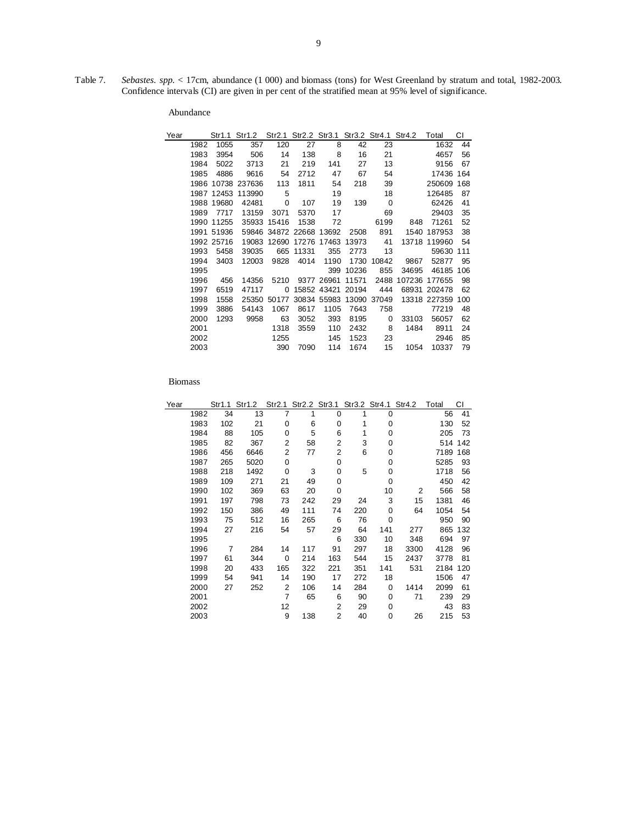Table 7. *Sebastes. spp.* < 17cm, abundance (1 000) and biomass (tons) for West Greenland by stratum and total, 1982-2003. Confidence intervals (CI) are given in per cent of the stratified mean at 95% level of significance.

| Year |      |            | Str1.1 Str1.2 |                         |       |             |       |             | Str2.1 Str2.2 Str3.1 Str3.2 Str4.1 Str4.2 | Total        | СI  |
|------|------|------------|---------------|-------------------------|-------|-------------|-------|-------------|-------------------------------------------|--------------|-----|
|      | 1982 | 1055       | 357           | 120                     | 27    | 8           | 42    | 23          |                                           | 1632         | 44  |
|      | 1983 | 3954       | 506           | 14                      | 138   | 8           | 16    | 21          |                                           | 4657         | 56  |
|      | 1984 | 5022       | 3713          | 21                      | 219   | 141         | 27    | 13          |                                           | 9156         | 67  |
|      | 1985 | 4886       | 9616          | 54                      | 2712  | 47          | 67    | 54          |                                           | 17436        | 164 |
|      | 1986 |            | 10738 237636  | 113                     | 1811  | 54          | 218   | 39          |                                           | 250609       | 168 |
|      |      | 1987 12453 | 113990        | - 5                     |       | 19          |       | 18          |                                           | 126485       | 87  |
|      | 1988 | 19680      | 42481         | 0                       | 107   | 19          | 139   | $\mathbf 0$ |                                           | 62426        | 41  |
|      | 1989 | 7717       | 13159         | 3071                    | 5370  | 17          |       | 69          |                                           | 29403        | 35  |
|      | 1990 | 11255      | 35933         | 15416                   | 1538  | 72          |       | 6199        | 848                                       | 71261        | 52  |
|      |      | 1991 51936 |               | 59846 34872 22668 13692 |       |             | 2508  | 891         |                                           | 1540 187953  | 38  |
|      |      | 1992 25716 | 19083         | 12690                   |       | 17276 17463 | 13973 | 41          |                                           | 13718 119960 | 54  |
|      | 1993 | 5458       | 39035         | 665                     | 11331 | 355         | 2773  | 13          |                                           | 59630        | 111 |
|      | 1994 | 3403       | 12003         | 9828                    | 4014  | 1190        | 1730  | 10842       | 9867                                      | 52877        | 95  |
|      | 1995 |            |               |                         |       | 399         | 10236 | 855         | 34695                                     | 46185        | 106 |
|      | 1996 | 456        | 14356         | 5210                    |       | 9377 26961  | 11571 | 2488        | 107236                                    | 177655       | 98  |
|      | 1997 | 6519       | 47117         | 0                       |       | 15852 43421 | 20194 | 444         |                                           | 68931 202478 | 62  |
|      | 1998 | 1558       | 25350         | 50177                   |       | 30834 55983 | 13090 | 37049       |                                           | 13318 227359 | 100 |
|      | 1999 | 3886       | 54143         | 1067                    | 8617  | 1105        | 7643  | 758         |                                           | 77219        | 48  |
|      | 2000 | 1293       | 9958          | 63                      | 3052  | 393         | 8195  | 0           | 33103                                     | 56057        | 62  |
|      | 2001 |            |               | 1318                    | 3559  | 110         | 2432  | 8           | 1484                                      | 8911         | 24  |
|      | 2002 |            |               | 1255                    |       | 145         | 1523  | 23          |                                           | 2946         | 85  |
|      | 2003 |            |               | 390                     | 7090  | 114         | 1674  | 15          | 1054                                      | 10337        | 79  |

|      |     | Str1.2 |                                                                                       |                   |                                                                    |                                                                |     |           | Total                                                 | СI      |
|------|-----|--------|---------------------------------------------------------------------------------------|-------------------|--------------------------------------------------------------------|----------------------------------------------------------------|-----|-----------|-------------------------------------------------------|---------|
| 1982 | 34  |        | 7                                                                                     | 1                 | 0                                                                  | 1                                                              | 0   |           | 56                                                    | 41      |
| 1983 |     | 21     | 0                                                                                     | 6                 | 0                                                                  | 1                                                              | 0   |           | 130                                                   | 52      |
| 1984 |     | 105    | 0                                                                                     | 5                 | 6                                                                  | 1                                                              | 0   |           | 205                                                   | 73      |
| 1985 |     | 367    | 2                                                                                     |                   | 2                                                                  | 3                                                              | 0   |           |                                                       | 514 142 |
| 1986 |     | 6646   |                                                                                       | 77                | 2                                                                  | 6                                                              | 0   |           | 7189                                                  | 168     |
| 1987 |     | 5020   | 0                                                                                     |                   | 0                                                                  |                                                                | 0   |           | 5285                                                  | 93      |
| 1988 |     |        | 0                                                                                     |                   | 0                                                                  | 5                                                              | 0   |           | 1718                                                  | 56      |
| 1989 |     | 271    | 21                                                                                    | 49                | 0                                                                  |                                                                | 0   |           | 450                                                   | 42      |
| 1990 |     | 369    |                                                                                       | 20                | 0                                                                  |                                                                | 10  | 2         | 566                                                   | 58      |
| 1991 | 197 | 798    |                                                                                       |                   | 29                                                                 | 24                                                             | 3   | 15        | 1381                                                  | 46      |
| 1992 |     | 386    |                                                                                       | 111               | 74                                                                 | 220                                                            | 0   | 64        | 1054                                                  | 54      |
| 1993 |     |        |                                                                                       |                   | 6                                                                  | 76                                                             | 0   |           | 950                                                   | 90      |
| 1994 | 27  | 216    |                                                                                       | 57                | 29                                                                 |                                                                | 141 | 277       | 865                                                   | 132     |
| 1995 |     |        |                                                                                       |                   | 6                                                                  | 330                                                            | 10  | 348       | 694                                                   | 97      |
| 1996 | 7   | 284    |                                                                                       |                   | 91                                                                 |                                                                |     | 3300      | 4128                                                  | 96      |
| 1997 | 61  | 344    | $\mathbf 0$                                                                           |                   | 163                                                                | 544                                                            |     | 2437      | 3778                                                  | 81      |
| 1998 | 20  | 433    |                                                                                       |                   | 221                                                                | 351                                                            | 141 | 531       | 2184                                                  | 120     |
| 1999 |     | 941    |                                                                                       |                   | 17                                                                 | 272                                                            | 18  |           | 1506                                                  | 47      |
| 2000 |     | 252    |                                                                                       |                   | 14                                                                 | 284                                                            | 0   | 1414      | 2099                                                  | 61      |
| 2001 |     |        |                                                                                       |                   | 6                                                                  | 90                                                             | 0   | 71        | 239                                                   | 29      |
| 2002 |     |        |                                                                                       |                   | 2                                                                  | 29                                                             | 0   |           | 43                                                    | 83      |
| 2003 |     |        | 9                                                                                     | 138               | 2                                                                  | 40                                                             | 0   | 26        | 215                                                   | 53      |
|      |     |        | Str1.1<br>102<br>88<br>82<br>456<br>265<br>218<br>109<br>102<br>150<br>75<br>54<br>27 | 13<br>1492<br>512 | 2<br>63<br>73<br>49<br>16<br>54<br>14<br>165<br>14<br>2<br>7<br>12 | 58<br>3<br>242<br>265<br>117<br>214<br>322<br>190<br>106<br>65 |     | 64<br>297 | Str2.1 Str2.2 Str3.1 Str3.2 Str4.1 Str4.2<br>18<br>15 |         |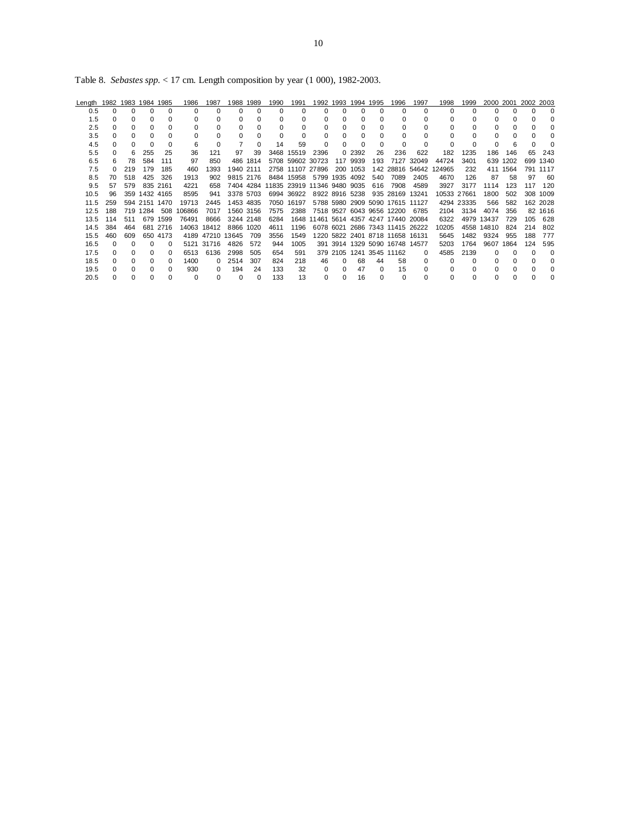Table 8. *Sebastes spp.* < 17 cm. Length composition by year (1 000), 1982-2003.

| Length |     |              | 1982 1983 1984 1985 |          | 1986   | 1987             | 988       | 1989      | 1990                        | 1991       |                  |          | 1992 1993 1994 1995 |          | 1996                                  | 1997            | 1998     | 1999        |            | 2000 2001 | 2002 2003 |          |
|--------|-----|--------------|---------------------|----------|--------|------------------|-----------|-----------|-----------------------------|------------|------------------|----------|---------------------|----------|---------------------------------------|-----------------|----------|-------------|------------|-----------|-----------|----------|
| 0.5    | 0   |              |                     | $\Omega$ | 0      | 0                | $\Omega$  | $\Omega$  |                             | O          |                  | $\Omega$ | $\Omega$            | $\Omega$ |                                       | 0               | $\Omega$ |             | U          |           | U         |          |
| 1.5    | 0   |              |                     |          | 0      | O                |           | 0         |                             |            |                  | 0        | <sup>0</sup>        |          | O                                     |                 | O.       |             |            |           |           |          |
| 2.5    | 0   |              |                     |          |        |                  |           |           |                             |            |                  |          |                     |          |                                       |                 | 0        |             |            |           |           |          |
| 3.5    | 0   |              |                     |          |        | O                |           | O         |                             |            |                  | $\Omega$ | $\Omega$            |          | $\Omega$                              |                 | $\Omega$ |             |            |           |           |          |
| 4.5    | 0   |              |                     |          | 6      | $\Omega$         |           | $\Omega$  | 14                          | 59         | $\Omega$         | $\Omega$ | $\Omega$            |          |                                       |                 | 0        |             |            |           |           |          |
| 5.5    | 0   | 6            | 255                 | 25       | 36     | 121              | 97        | 39        | 3468                        | 15519      | 2396             |          | 0 2392              | 26       | 236                                   | 622             | 182      | 1235        | 186        | 146       | 65        | 243      |
| 6.5    | 6   | 78           | 584                 | 111      | 97     | 850              | 486       | 1814      |                             |            | 5708 59602 30723 |          | 117 9939            | 193      |                                       | 7127 32049      | 44724    | 3401        | 639        | 1202      | 699       | 1340     |
| 7.5    | 0   | 219          | 179                 | 185      | 460    | 1393             | 1940      | 2111      |                             |            | 2758 11107 27896 | 200      | 1053                |          |                                       | 142 28816 54642 | 124965   | 232         | 411        | 1564      | 791       | 1117     |
| 8.5    | 70  | 518          | 425                 | 326      | 1913   | 902              | 9815 2176 |           |                             | 8484 15958 | 5799 1935 4092   |          |                     | 540      | 7089                                  | 2405            | 4670     | 126         | 87         | 58        | 97        | -60      |
| 9.5    | 57  | 579          |                     | 835 2161 | 4221   | 658              |           | 7404 4284 | 11835 23919 11346 9480 9035 |            |                  |          |                     | 616      | 7908                                  | 4589            | 3927     | 3177        | 1114       | 123       | 117       | 120      |
| 10.5   | 96  |              | 359 1432 4165       |          | 8595   | 941              | 3378 5703 |           |                             | 6994 36922 | 8922 8916 5238   |          |                     |          | 935 28169                             | 13241           |          | 10533 27661 | 1800       | 502       |           | 308 1009 |
| 11.5   | 259 |              | 594 2151 1470       |          | 19713  | 2445             | 1453 4835 |           | 7050                        | 16197      |                  |          |                     |          | 5788 5980 2909 5090 17615 11127       |                 |          | 4294 23335  | 566        | 582       |           | 162 2028 |
| 12.5   | 188 |              | 719 1284            | 508      | 106866 | 7017             | 1560 3156 |           | 7575                        | 2388       |                  |          |                     |          | 7518 9527 6043 9656 12200             | 6785            | 2104     | 3134        | 4074       | 356       |           | 82 1616  |
| 13.5   | 114 | 511          | 679                 | 1599     | 76491  | 8666             | 3244 2148 |           | 6284                        |            |                  |          |                     |          | 1648 11461 5614 4357 4247 17440 20084 |                 | 6322     |             | 4979 13437 | 729       | 105       | 628      |
| 14.5   | 384 | 464          | 681                 | 2716     | 14063  | 18412            | 8866 1020 |           | 4611                        | 1196       |                  |          |                     |          | 6078 6021 2686 7343 11415 26222       |                 | 10205    |             | 4558 14810 | 824       | 214       | 802      |
| 15.5   | 460 | 609          |                     | 650 4173 |        | 4189 47210 13645 |           | 709       | 3556                        | 1549       |                  |          |                     |          | 1220 5822 2401 8718 11658 16131       |                 | 5645     | 1482        | 9324       | 955       | 188       | 777      |
| 16.5   | 0   | <sup>n</sup> |                     | $\Omega$ |        | 5121 31716       | 4826      | 572       | 944                         | 1005       |                  |          |                     |          | 391 3914 1329 5090 16748 14577        |                 | 5203     | 1764        | 9607       | 1864      | 124       | 595      |
| 17.5   | 0   |              |                     | 0        | 6513   | 6136             | 2998      | 505       | 654                         | 591        |                  |          |                     |          | 379 2105 1241 3545 11162              | 0               | 4585     | 2139        | O          | $\Omega$  |           | ∩        |
| 18.5   | 0   |              |                     | 0        | 1400   | 0                | 2514      | 307       | 824                         | 218        | 46               | $\Omega$ | 68                  | 44       | 58                                    | 0               | 0        |             |            | 0         | U         | O        |
| 19.5   | 0   |              |                     | 0        | 930    | 0                | 194       | 24        | 133                         | 32         | 0                | 0        | 47                  | $\Omega$ | 15                                    |                 | 0        | 0           |            | $\Omega$  |           | 0        |
| 20.5   | 0   |              |                     |          | 0      | $\Omega$         | 0         | $\Omega$  | 133                         | 13         |                  | $\Omega$ | 16                  |          | $\Omega$                              |                 | $\Omega$ |             |            |           |           |          |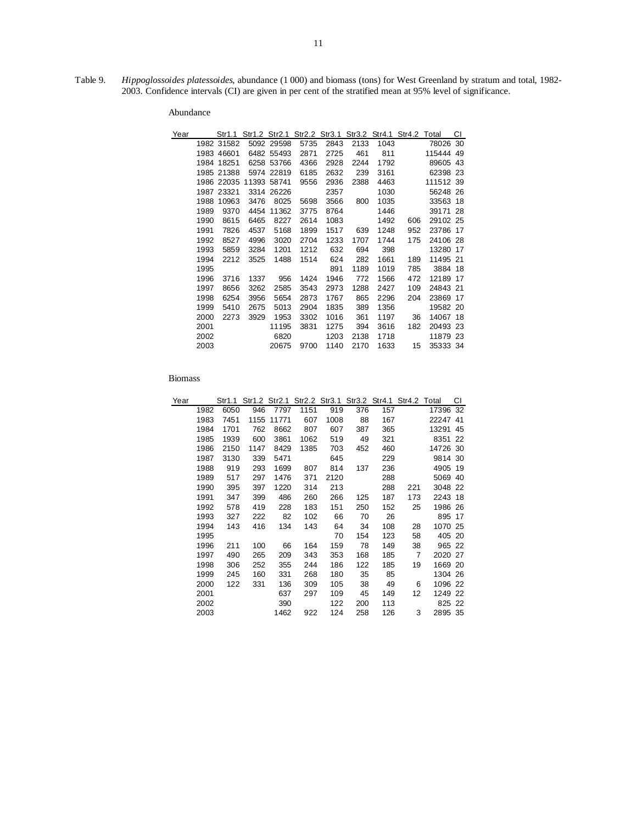Table 9. *Hippoglossoides platessoides*, abundance (1 000) and biomass (tons) for West Greenland by stratum and total, 1982- 2003. Confidence intervals (CI) are given in per cent of the stratified mean at 95% level of significance.

| Year |      | Str1.1     |      | Str1.2 Str2.1 |      | Str2.2 Str3.1 |      | Str3.2 Str4.1 | Str4.2 Total |           | СI  |
|------|------|------------|------|---------------|------|---------------|------|---------------|--------------|-----------|-----|
|      |      | 1982 31582 |      | 5092 29598    | 5735 | 2843          | 2133 | 1043          |              | 78026 30  |     |
|      |      | 1983 46601 |      | 6482 55493    | 2871 | 2725          | 461  | 811           |              | 115444 49 |     |
|      |      | 1984 18251 |      | 6258 53766    | 4366 | 2928          | 2244 | 1792          |              | 89605     | 43  |
|      |      | 1985 21388 |      | 5974 22819    | 6185 | 2632          | 239  | 3161          |              | 62398 23  |     |
|      |      | 1986 22035 |      | 11393 58741   | 9556 | 2936          | 2388 | 4463          |              | 111512 39 |     |
|      |      | 1987 23321 |      | 3314 26226    |      | 2357          |      | 1030          |              | 56248 26  |     |
|      | 1988 | 10963      | 3476 | 8025          | 5698 | 3566          | 800  | 1035          |              | 33563     | 18  |
|      | 1989 | 9370       | 4454 | 11362         | 3775 | 8764          |      | 1446          |              | 39171 28  |     |
|      | 1990 | 8615       | 6465 | 8227          | 2614 | 1083          |      | 1492          | 606          | 29102 25  |     |
|      | 1991 | 7826       | 4537 | 5168          | 1899 | 1517          | 639  | 1248          | 952          | 23786 17  |     |
|      | 1992 | 8527       | 4996 | 3020          | 2704 | 1233          | 1707 | 1744          | 175          | 24106 28  |     |
|      | 1993 | 5859       | 3284 | 1201          | 1212 | 632           | 694  | 398           |              | 13280     | -17 |
|      | 1994 | 2212       | 3525 | 1488          | 1514 | 624           | 282  | 1661          | 189          | 11495 21  |     |
|      | 1995 |            |      |               |      | 891           | 1189 | 1019          | 785          | 3884 18   |     |
|      | 1996 | 3716       | 1337 | 956           | 1424 | 1946          | 772  | 1566          | 472          | 12189 17  |     |
|      | 1997 | 8656       | 3262 | 2585          | 3543 | 2973          | 1288 | 2427          | 109          | 24843 21  |     |
|      | 1998 | 6254       | 3956 | 5654          | 2873 | 1767          | 865  | 2296          | 204          | 23869     | -17 |
|      | 1999 | 5410       | 2675 | 5013          | 2904 | 1835          | 389  | 1356          |              | 19582 20  |     |
|      | 2000 | 2273       | 3929 | 1953          | 3302 | 1016          | 361  | 1197          | 36           | 14067 18  |     |
|      | 2001 |            |      | 11195         | 3831 | 1275          | 394  | 3616          | 182          | 20493 23  |     |
|      | 2002 |            |      | 6820          |      | 1203          | 2138 | 1718          |              | 11879 23  |     |
|      | 2003 |            |      | 20675         | 9700 | 1140          | 2170 | 1633          | 15           | 35333 34  |     |

| Year |      | Str1.1 |      |       |      | Str1.2 Str2.1 Str2.2 Str3.1 Str3.2 Str4.1 Str4.2 Total |     |     |                |          | СI  |
|------|------|--------|------|-------|------|--------------------------------------------------------|-----|-----|----------------|----------|-----|
|      | 1982 | 6050   | 946  | 7797  | 1151 | 919                                                    | 376 | 157 |                | 17396    | 32  |
|      | 1983 | 7451   | 1155 | 11771 | 607  | 1008                                                   | 88  | 167 |                | 22247 41 |     |
|      | 1984 | 1701   | 762  | 8662  | 807  | 607                                                    | 387 | 365 |                | 13291    | 45  |
|      | 1985 | 1939   | 600  | 3861  | 1062 | 519                                                    | 49  | 321 |                | 8351 22  |     |
|      | 1986 | 2150   | 1147 | 8429  | 1385 | 703                                                    | 452 | 460 |                | 14726 30 |     |
|      | 1987 | 3130   | 339  | 5471  |      | 645                                                    |     | 229 |                | 9814 30  |     |
|      | 1988 | 919    | 293  | 1699  | 807  | 814                                                    | 137 | 236 |                | 4905 19  |     |
|      | 1989 | 517    | 297  | 1476  | 371  | 2120                                                   |     | 288 |                | 5069 40  |     |
|      | 1990 | 395    | 397  | 1220  | 314  | 213                                                    |     | 288 | 221            | 3048 22  |     |
|      | 1991 | 347    | 399  | 486   | 260  | 266                                                    | 125 | 187 | 173            | 2243 18  |     |
|      | 1992 | 578    | 419  | 228   | 183  | 151                                                    | 250 | 152 | 25             | 1986 26  |     |
|      | 1993 | 327    | 222  | 82    | 102  | 66                                                     | 70  | 26  |                | 895 17   |     |
|      | 1994 | 143    | 416  | 134   | 143  | 64                                                     | 34  | 108 | 28             | 1070 25  |     |
|      | 1995 |        |      |       |      | 70                                                     | 154 | 123 | 58             | 405      | -20 |
|      | 1996 | 211    | 100  | 66    | 164  | 159                                                    | 78  | 149 | 38             | 965 22   |     |
|      | 1997 | 490    | 265  | 209   | 343  | 353                                                    | 168 | 185 | $\overline{7}$ | 2020 27  |     |
|      | 1998 | 306    | 252  | 355   | 244  | 186                                                    | 122 | 185 | 19             | 1669 20  |     |
|      | 1999 | 245    | 160  | 331   | 268  | 180                                                    | 35  | 85  |                | 1304 26  |     |
|      | 2000 | 122    | 331  | 136   | 309  | 105                                                    | 38  | 49  | 6              | 1096 22  |     |
|      | 2001 |        |      | 637   | 297  | 109                                                    | 45  | 149 | 12             | 1249 22  |     |
|      | 2002 |        |      | 390   |      | 122                                                    | 200 | 113 |                | 825 22   |     |
|      | 2003 |        |      | 1462  | 922  | 124                                                    | 258 | 126 | 3              | 2895 35  |     |
|      |      |        |      |       |      |                                                        |     |     |                |          |     |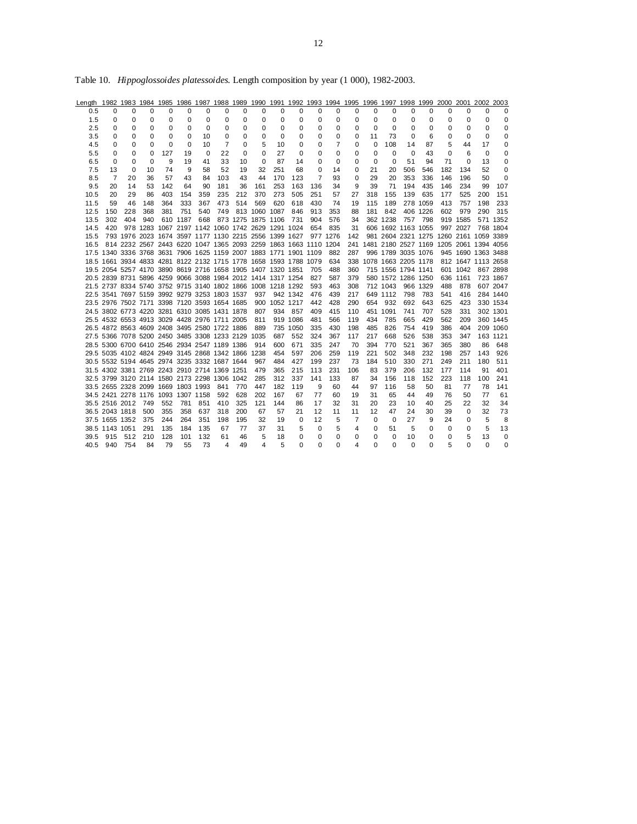| Length 1982 1983 1984 1985 1986 1987 1988 1989 1990 1991 1992 1993 1994 1995 1996 1997 1998 1999 2000 2001 2002 2003 |                |                    |                                                   |          |          |          |          |          |                                                                  |               |          |          |          |          |          |             |                         |          |                                             |                    |          |          |
|----------------------------------------------------------------------------------------------------------------------|----------------|--------------------|---------------------------------------------------|----------|----------|----------|----------|----------|------------------------------------------------------------------|---------------|----------|----------|----------|----------|----------|-------------|-------------------------|----------|---------------------------------------------|--------------------|----------|----------|
| 0.5                                                                                                                  | $\Omega$       | $\Omega$           | $\Omega$                                          | $\Omega$ | $\Omega$ | $\Omega$ | $\Omega$ | $\Omega$ | $\Omega$                                                         | $\Omega$      | $\Omega$ | $\Omega$ | $\Omega$ | $\Omega$ | $\Omega$ | $\Omega$    | $\Omega$                | $\Omega$ | $\Omega$                                    | $\Omega$           | $\Omega$ | $\Omega$ |
| 1.5                                                                                                                  | 0              | $\mathbf 0$        | 0                                                 | 0        | 0        | 0        | 0        | 0        | 0                                                                | 0             | 0        | 0        | 0        | 0        | $\Omega$ | 0           | 0                       | 0        | 0                                           | 0                  | 0        | 0        |
| 2.5                                                                                                                  | 0              | 0                  | 0                                                 | $\Omega$ | $\Omega$ | $\Omega$ | 0        | 0        | 0                                                                | $\Omega$      | $\Omega$ | 0        | $\Omega$ | $\Omega$ | $\Omega$ | $\mathbf 0$ | $\Omega$                | $\Omega$ | $\Omega$                                    | $\Omega$           | $\Omega$ | 0        |
| 3.5                                                                                                                  | 0              | 0                  | 0                                                 | 0        | 0        | 10       | 0        | 0        | $\mathbf 0$                                                      | 0             | 0        | 0        | 0        | 0        | 11       | 73          | 0                       | 6        | 0                                           | 0                  | 0        | 0        |
| 4.5                                                                                                                  | 0              | 0                  | 0                                                 | $\Omega$ | $\Omega$ | 10       | 7        | 0        | 5                                                                | 10            | 0        | 0        | 7        | 0        | $\Omega$ | 108         | 14                      | 87       | 5                                           | 44                 | 17       | 0        |
| 5.5                                                                                                                  | 0              | 0                  | 0                                                 | 127      | 19       | 0        | 22       | 0        | 0                                                                | 27            | 0        | 0        | 0        | 0        | $\Omega$ | $\Omega$    | 0                       | 43       | 0                                           | 6                  | 0        | 0        |
| 6.5                                                                                                                  | 0              | 0                  | $\Omega$                                          | 9        | 19       | 41       | 33       | 10       | $\Omega$                                                         | 87            | 14       | $\Omega$ | $\Omega$ | 0        | $\Omega$ | $\mathbf 0$ | 51                      | 94       | 71                                          | $\Omega$           | 13       | 0        |
| 7.5                                                                                                                  | 13             | 0                  | 10                                                | 74       | 9        | 58       | 52       | 19       | 32                                                               | 251           | 68       | 0        | 14       | 0        | 21       | 20          | 506                     | 546      | 182                                         | 134                | 52       | $\Omega$ |
| 8.5                                                                                                                  | 7              | 20                 | 36                                                | 57       | 43       | 84       | 103      | 43       | 44                                                               | 170           | 123      | 7        | 93       | 0        | 29       | 20          | 353                     | 336      | 146                                         | 196                | 50       | $\Omega$ |
| 9.5                                                                                                                  | 20             | 14                 | 53                                                | 142      | 64       | 90       | 181      | 36       | 161                                                              | 253           | 163      | 136      | 34       | 9        | 39       | 71          | 194                     | 435      | 146                                         | 234                | 99       | 107      |
| 10.5                                                                                                                 | 20             | 29                 | 86                                                | 403      | 154      | 359      | 235      | 212      | 370                                                              | 273           | 505      | 251      | 57       | 27       | 318      | 155         | 139                     | 635      | 177                                         | 525                | 200      | 151      |
| 11.5                                                                                                                 | 59             | 46                 | 148                                               | 364      | 333      | 367      | 473      | 514      | 569                                                              | 620           | 618      | 430      | 74       | 19       | 115      | 189         |                         | 278 1059 | 413                                         | 757                | 198      | 233      |
| 12.5                                                                                                                 | 150            | 228                | 368                                               | 381      | 751      | 540      | 749      |          | 813 1060 1087                                                    |               | 846      | 913      | 353      | 88       | 181      | 842         |                         | 406 1226 | 602                                         | 979                | 290      | 315      |
| 13.5                                                                                                                 | 302            | 404                | 940                                               |          | 610 1187 |          |          |          | 668 873 1275 1875 1106                                           |               | 731      | 904      | 576      | 34       |          | 362 1238    |                         | 757 798  |                                             | 919 1585           |          | 571 1352 |
| 14.5                                                                                                                 | 420            |                    |                                                   |          |          |          |          |          | 978 1283 1067 2197 1142 1060 1742 2629 1291 1024                 |               |          | 654      | 835      | 31       |          |             | 606 1692 1163 1055      |          |                                             | 997 2027           |          | 768 1804 |
| 15.5                                                                                                                 |                |                    |                                                   |          |          |          |          |          | 793 1976 2023 1674 3597 1177 1130 2215 2556 1399 1627 977 1276   |               |          |          |          | 142      |          |             |                         |          | 981 2604 2321 1275 1260 2161 1059 3389      |                    |          |          |
| 16.5                                                                                                                 |                |                    |                                                   |          |          |          |          |          | 814 2232 2567 2443 6220 1047 1365 2093 2259 1863 1663 1110 1204  |               |          |          |          |          |          |             |                         |          | 241 1481 2180 2527 1169 1205 2061 1394 4056 |                    |          |          |
|                                                                                                                      |                |                    |                                                   |          |          |          |          |          | 17.5 1340 3336 3768 3631 7906 1625 1159 2007 1883 1771 1901 1109 |               |          |          | 882      | 287      |          |             | 996 1789 3035 1076      |          | 945 1690 1363 3488                          |                    |          |          |
|                                                                                                                      |                |                    |                                                   |          |          |          |          |          | 18.5 1661 3934 4833 4281 8122 2132 1715 1778 1658 1593 1788 1079 |               |          |          | 634      |          |          |             | 338 1078 1663 2205 1178 |          |                                             | 812 1647 1113 2658 |          |          |
|                                                                                                                      |                |                    |                                                   |          |          |          |          |          | 19.5 2054 5257 4170 3890 8619 2716 1658 1905 1407 1320 1851      |               |          | 705      | 488      | 360      |          |             | 715 1556 1794 1141      |          |                                             | 601 1042 867 2898  |          |          |
|                                                                                                                      |                |                    |                                                   |          |          |          |          |          | 20.5 2839 8731 5896 4259 9066 3088 1984 2012 1414 1317 1254      |               |          | 827      | 587      | 379      |          |             | 580 1572 1286 1250      |          |                                             | 636 1161           |          | 723 1867 |
|                                                                                                                      |                |                    |                                                   |          |          |          |          |          | 21.5 2737 8334 5740 3752 9715 3140 1802 1866 1008 1218 1292      |               |          | 593      | 463      | 308      |          | 712 1043    |                         | 966 1329 | 488                                         | 878                |          | 607 2047 |
|                                                                                                                      |                |                    | 22.5 3541 7697 5159 3992 9279 3253 1803 1537      |          |          |          |          |          | 937                                                              |               | 942 1342 | 476      | 439      | 217      |          | 649 1112    | 798                     | 783      | 541                                         | 416                |          | 284 1440 |
|                                                                                                                      |                |                    | 23.5 2976 7502 7171 3398 7120 3593 1654 1685      |          |          |          |          |          |                                                                  | 900 1052 1217 |          | 442      | 428      | 290      | 654      | - 932       | 692                     | 643      | 625                                         | 423                |          | 330 1534 |
|                                                                                                                      |                |                    | 24.5 3802 6773 4220 3281 6310 3085 1431 1878      |          |          |          |          |          | 807                                                              |               | 934 857  | 409      | 415      | 110      |          | 451 1091    | 741                     | 707      | 528                                         | 331                |          | 302 1301 |
|                                                                                                                      |                |                    | 25.5 4532 6553 4913 3029 4428 2976 1711 2005      |          |          |          |          |          | 811                                                              |               | 919 1086 | 481      | 566      | 119      | 434      | 785         | 665                     | 429      | 562                                         | 209                |          | 360 1445 |
|                                                                                                                      |                |                    | 26.5 4872 8563 4609 2408 3495 2580 1722 1886      |          |          |          |          |          | 889                                                              |               | 735 1050 | 335      | 430      | 198      | 485      | 826         | 754                     | 419      | 386                                         | 404                |          | 209 1060 |
|                                                                                                                      |                |                    | 27.5 5366 7078 5200 2450 3485 3308 1233 2129 1035 |          |          |          |          |          |                                                                  | 687           | 552      | 324      | 367      | 117      | 217      | 668         | 526                     | 538      | 353                                         | 347                |          | 163 1121 |
|                                                                                                                      |                |                    | 28.5 5300 6700 6410 2546 2934 2547 1189 1386      |          |          |          |          |          | 914                                                              | 600           | 671      | 335      | 247      | 70       | 394      | 770         | 521                     | 367      | 365                                         | 380                | 86       | 648      |
|                                                                                                                      |                |                    | 29.5 5035 4102 4824 2949 3145 2868 1342 1866 1238 |          |          |          |          |          |                                                                  | 454           | 597      | 206      | 259      | 119      | 221      | 502         | 348                     | 232      | 198                                         | 257                | 143      | 926      |
|                                                                                                                      |                |                    | 30.5 5532 5194 4645 2974 3235 3332 1687 1644      |          |          |          |          |          | 967                                                              | 484           | 427      | 199      | 237      | 73       | 184      | 510         | 330                     | 271      | 249                                         | 211                | 180      | 511      |
|                                                                                                                      |                |                    | 31.5 4302 3381 2769 2243 2910 2714 1369 1251      |          |          |          |          |          | 479                                                              | 365           | 215      | 113      | 231      | 106      | 83       | 379         | 206                     | 132      | 177                                         | 114                | 91       | 401      |
|                                                                                                                      |                |                    | 32.5 3799 3120 2114 1580 2173 2298 1306 1042      |          |          |          |          |          | 285                                                              | 312           | 337      | 141      | 133      | 87       | 34       | 156         | 118                     | 152      | 223                                         | 118                | 100      | 241      |
|                                                                                                                      |                |                    | 33.5 2655 2328 2099 1669 1803 1993                |          |          |          | 841      | 770      | 447                                                              | 182           | 119      | 9        | 60       | 44       | 97       | 116         | 58                      | 50       | 81                                          | 77                 | 78       | 141      |
|                                                                                                                      |                |                    | 34.5 2421 2278 1176 1093 1307 1158                |          |          |          | 592      | 628      | 202                                                              | 167           | 67       | 77       | 60       | 19       | 31       | 65          | 44                      | 49       | 76                                          | 50                 | 77       | 61       |
|                                                                                                                      |                | 35.5 2516 2012 749 |                                                   | 552      | 781      | 851      | 410      | 325      | 121                                                              | 144           | 86       | 17       | 32       | 31       | 20       | 23          | 10                      | 40       | 25                                          | 22                 | 32       | 34       |
|                                                                                                                      | 36.5 2043 1818 |                    | 500                                               | 355      | 358      | 637      | 318      | 200      | 67                                                               | 57            | 21       | 12       | 11       | 11       | 12       | 47          | 24                      | 30       | 39                                          | $\Omega$           | 32       | 73       |
|                                                                                                                      |                | 37.5 1655 1352     | 375                                               | 244      | 264      | 351      | 198      | 195      | 32                                                               | 19            | 0        | 12       | 5        | 7        | $\Omega$ | 0           | 27                      | 9        | 24                                          | $\Omega$           | 5        | 8        |
|                                                                                                                      | 38.5 1143 1051 |                    | 291                                               | 135      | 184      | 135      | 67       | 77       | 37                                                               | 31            | 5        | $\Omega$ | 5        | 4        | $\Omega$ | 51          | 5                       | 0        | 0                                           | $\Omega$           | 5        | 13       |
| 39.5                                                                                                                 | 915            | 512                | 210                                               | 128      | 101      | 132      | 61       | 46       | 5                                                                | 18            | $\Omega$ | $\Omega$ | $\Omega$ | 0        | $\Omega$ | $\Omega$    | 10                      | $\Omega$ | 0                                           | 5                  | 13       | 0        |
|                                                                                                                      | 40.5 940 754   |                    | 84                                                | 79       | 55       | 73       | 4        | 49       | 4                                                                | 5             | $\Omega$ | 0        | $\Omega$ | 4        | $\Omega$ | $\Omega$    | $\Omega$                | $\Omega$ | 5                                           | $\Omega$           | $\Omega$ | $\Omega$ |

Table 10. *Hippoglossoides platessoides*. Length composition by year (1 000), 1982-2003.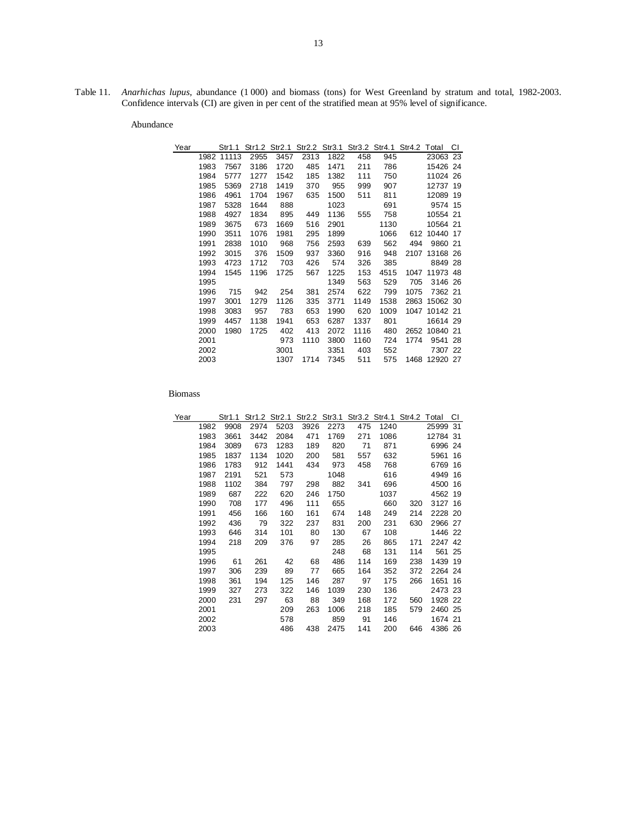Table 11. *Anarhichas lupus*, abundance (1 000) and biomass (tons) for West Greenland by stratum and total, 1982-2003. Confidence intervals (CI) are given in per cent of the stratified mean at 95% level of significance.

Abundance

| Year |      | Str1.1     | Str1.2 | Str2.1 |      | Str2.2 Str3.1 |      | Str3.2 Str4.1 Str4.2 Total |      |               | СI |
|------|------|------------|--------|--------|------|---------------|------|----------------------------|------|---------------|----|
|      |      | 1982 11113 | 2955   | 3457   | 2313 | 1822          | 458  | 945                        |      | 23063 23      |    |
|      | 1983 | 7567       | 3186   | 1720   | 485  | 1471          | 211  | 786                        |      | 15426 24      |    |
|      | 1984 | 5777       | 1277   | 1542   | 185  | 1382          | 111  | 750                        |      | 11024 26      |    |
|      | 1985 | 5369       | 2718   | 1419   | 370  | 955           | 999  | 907                        |      | 12737 19      |    |
|      | 1986 | 4961       | 1704   | 1967   | 635  | 1500          | 511  | 811                        |      | 12089 19      |    |
|      | 1987 | 5328       | 1644   | 888    |      | 1023          |      | 691                        |      | 9574 15       |    |
|      | 1988 | 4927       | 1834   | 895    | 449  | 1136          | 555  | 758                        |      | 10554 21      |    |
|      | 1989 | 3675       | 673    | 1669   | 516  | 2901          |      | 1130                       |      | 10564 21      |    |
|      | 1990 | 3511       | 1076   | 1981   | 295  | 1899          |      | 1066                       |      | 612 10440 17  |    |
|      | 1991 | 2838       | 1010   | 968    | 756  | 2593          | 639  | 562                        | 494  | 9860 21       |    |
|      | 1992 | 3015       | 376    | 1509   | 937  | 3360          | 916  | 948                        | 2107 | 13168 26      |    |
|      | 1993 | 4723       | 1712   | 703    | 426  | 574           | 326  | 385                        |      | 8849 28       |    |
|      | 1994 | 1545       | 1196   | 1725   | 567  | 1225          | 153  | 4515                       |      | 1047 11973 48 |    |
|      | 1995 |            |        |        |      | 1349          | 563  | 529                        | 705  | 3146 26       |    |
|      | 1996 | 715        | 942    | 254    | 381  | 2574          | 622  | 799                        | 1075 | 7362 21       |    |
|      | 1997 | 3001       | 1279   | 1126   | 335  | 3771          | 1149 | 1538                       | 2863 | 15062 30      |    |
|      | 1998 | 3083       | 957    | 783    | 653  | 1990          | 620  | 1009                       |      | 1047 10142 21 |    |
|      | 1999 | 4457       | 1138   | 1941   | 653  | 6287          | 1337 | 801                        |      | 16614 29      |    |
|      | 2000 | 1980       | 1725   | 402    | 413  | 2072          | 1116 | 480                        |      | 2652 10840 21 |    |
|      | 2001 |            |        | 973    | 1110 | 3800          | 1160 | 724                        | 1774 | 9541 28       |    |
|      | 2002 |            |        | 3001   |      | 3351          | 403  | 552                        |      | 7307 22       |    |
|      | 2003 |            |        | 1307   | 1714 | 7345          | 511  | 575                        |      | 1468 12920 27 |    |

| Year |      | Str1.1 |      | Str1.2 Str2.1 | Str2.2 |      |     | Str3.1 Str3.2 Str4.1 Str4.2 Total |     |          | СI |
|------|------|--------|------|---------------|--------|------|-----|-----------------------------------|-----|----------|----|
|      | 1982 | 9908   | 2974 | 5203          | 3926   | 2273 | 475 | 1240                              |     | 25999    | 31 |
|      | 1983 | 3661   | 3442 | 2084          | 471    | 1769 | 271 | 1086                              |     | 12784 31 |    |
|      | 1984 | 3089   | 673  | 1283          | 189    | 820  | 71  | 871                               |     | 6996 24  |    |
|      | 1985 | 1837   | 1134 | 1020          | 200    | 581  | 557 | 632                               |     | 5961     | 16 |
|      | 1986 | 1783   | 912  | 1441          | 434    | 973  | 458 | 768                               |     | 6769     | 16 |
|      | 1987 | 2191   | 521  | 573           |        | 1048 |     | 616                               |     | 4949     | 16 |
|      | 1988 | 1102   | 384  | 797           | 298    | 882  | 341 | 696                               |     | 4500     | 16 |
|      | 1989 | 687    | 222  | 620           | 246    | 1750 |     | 1037                              |     | 4562 19  |    |
|      | 1990 | 708    | 177  | 496           | 111    | 655  |     | 660                               | 320 | 3127 16  |    |
|      | 1991 | 456    | 166  | 160           | 161    | 674  | 148 | 249                               | 214 | 2228 20  |    |
|      | 1992 | 436    | 79   | 322           | 237    | 831  | 200 | 231                               | 630 | 2966 27  |    |
|      | 1993 | 646    | 314  | 101           | 80     | 130  | 67  | 108                               |     | 1446 22  |    |
|      | 1994 | 218    | 209  | 376           | 97     | 285  | 26  | 865                               | 171 | 2247 42  |    |
|      | 1995 |        |      |               |        | 248  | 68  | 131                               | 114 | 561 25   |    |
|      | 1996 | 61     | 261  | 42            | 68     | 486  | 114 | 169                               | 238 | 1439 19  |    |
|      | 1997 | 306    | 239  | 89            | 77     | 665  | 164 | 352                               | 372 | 2264 24  |    |
|      | 1998 | 361    | 194  | 125           | 146    | 287  | 97  | 175                               | 266 | 1651 16  |    |
|      | 1999 | 327    | 273  | 322           | 146    | 1039 | 230 | 136                               |     | 2473 23  |    |
|      | 2000 | 231    | 297  | 63            | 88     | 349  | 168 | 172                               | 560 | 1928 22  |    |
|      | 2001 |        |      | 209           | 263    | 1006 | 218 | 185                               | 579 | 2460 25  |    |
|      | 2002 |        |      | 578           |        | 859  | 91  | 146                               |     | 1674 21  |    |
|      | 2003 |        |      | 486           | 438    | 2475 | 141 | 200                               | 646 | 4386 26  |    |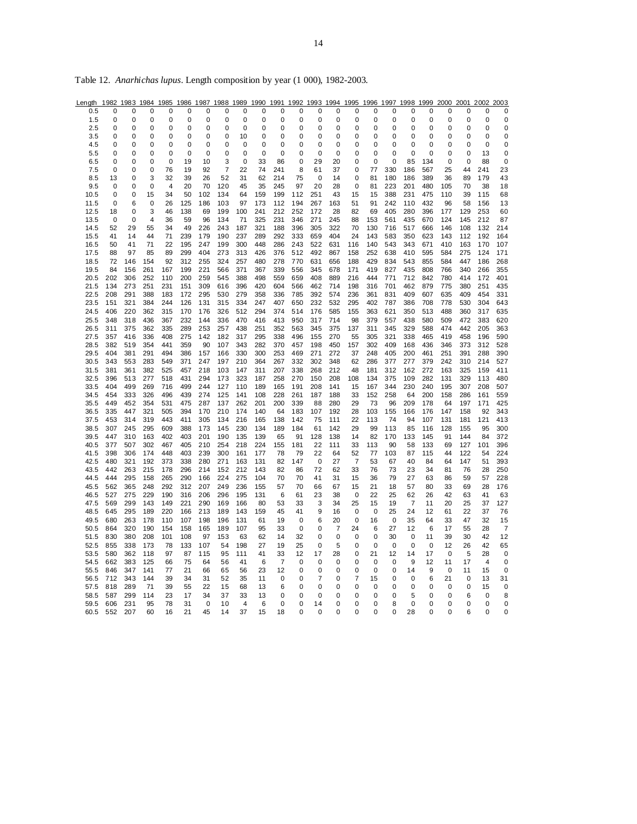| Length       | 1982             | 1983        | 1984       | 1985       |                  | 1986 1987  | 1988             | 1989       | 1990             | 1991           | 1992                       | 1993 1994  |            | 1995              | 1996       | 1997                |                |            | 1998 1999 2000 2001 |                  | 2002        | 2003                       |
|--------------|------------------|-------------|------------|------------|------------------|------------|------------------|------------|------------------|----------------|----------------------------|------------|------------|-------------------|------------|---------------------|----------------|------------|---------------------|------------------|-------------|----------------------------|
| 0.5          | 0                | 0           | 0          | 0          | 0                | 0          | 0                | 0          | 0                | 0              | 0                          | 0          | 0          | 0                 | 0          | 0                   | 0              | 0          | 0                   | 0                | 0           | 0                          |
| 1.5          | 0                | 0           | 0          | 0          | 0                | 0          | 0                | 0          | 0                | 0              | 0                          | 0          | 0          | 0                 | 0          | 0                   | 0              | 0          | 0                   | 0                | 0           | 0                          |
| 2.5          | 0                | 0           | 0          | 0          | 0                | 0          | 0                | 0          | 0                | 0              | 0                          | 0          | 0          | 0                 | $\Omega$   | 0                   | $\Omega$       | 0          | 0                   | $\Omega$         | 0           | 0                          |
| 3.5          | 0                | 0           | 0          | 0          | 0                | 0          | 0                | 10         | 0                | 0              | 0                          | 0          | 0          | 0                 | በ          | 0                   | $\Omega$       | 0          | 0                   | O                | 0           | 0                          |
| 4.5          | 0                | 0           | 0<br>0     | 0          | 0<br>$\mathbf 0$ | 0          | 0                | 0          | 0<br>$\mathbf 0$ | 0<br>0         | 0<br>0                     | 0<br>0     | 0          | 0                 | O          | 0<br>$\overline{0}$ | 0<br>0         | 0<br>0     | 0                   | O                | 0           | 0                          |
| 5.5<br>6.5   | 0<br>$\mathbf 0$ | 0<br>0      | 0          | 0<br>0     | 19               | 0<br>10    | $\mathbf 0$<br>3 | 0<br>0     | 33               | 86             | 0                          | 29         | 0<br>20    | 0<br>0            | 0<br>0     | $\mathbf 0$         | 85             | 134        | 0<br>0              | 0<br>$\mathbf 0$ | 13<br>88    | $\mathbf 0$<br>$\mathbf 0$ |
| 7.5          | 0                | 0           | 0          | 76         | 19               | 92         | $\overline{7}$   | 22         | 74               | 241            | 8                          | 61         | 37         | 0                 | 77         | 330                 | 186            | 567        | 25                  | 44               | 241         | 23                         |
| 8.5          | 13               | 0           | 3          | 32         | 39               | 26         | 52               | 31         | 62               | 214            | 75                         | 0          | 14         | 0                 | 81         | 180                 | 186            | 389        | 36                  | 89               | 179         | 43                         |
| 9.5          | $\mathbf 0$      | 0           | 0          | 4          | 20               | 70         | 120              | 45         | 35               | 245            | 97                         | 20         | 28         | 0                 | 81         | 223                 | 201            | 480        | 105                 | 70               | 38          | 18                         |
| 10.5         | 0                | $\mathbf 0$ | 15         | 34         | 50               | 102        | 134              | 64         | 159              | 199            | 112                        | 251        | 43         | 15                | 15         | 388                 | 231            | 475        | 110                 | 39               | 115         | 68                         |
| 11.5         | 0                | 6           | 0          | 26         | 125              | 186        | 103              | 97         | 173              | 112            | 194                        | 267        | 163        | 51                | 91         | 242                 | 110            | 432        | 96                  | 58               | 156         | 13                         |
| 12.5         | 18               | 0           | 3          | 46         | 138              | 69         | 199              | 100        | 241              | 212            | 252                        | 172        | 28         | 82                | 69         | 405                 | 280            | 396        | 177                 | 129              | 253         | 60                         |
| 13.5         | 0                | 0           | 4          | 36         | 59               | 96         | 134              | 71         | 325              | 231            | 346                        | 271        | 245        | 88                | 153        | 561                 | 435            | 670        | 124                 | 145              | 212         | 87                         |
| 14.5         | 52               | 29          | 55         | 34         | 49               | 226        | 243              | 187        | 321              | 188            | 396                        | 305        | 322        | 70                | 130        | 716                 | 517            | 666        | 146                 | 108              | 132         | 214                        |
| 15.5<br>16.5 | 41<br>50         | 14<br>41    | 44<br>71   | 71<br>22   | 239<br>195       | 179<br>247 | 190<br>199       | 237<br>300 | 289<br>448       | 292<br>286     | 333<br>243                 | 659<br>522 | 404<br>631 | 24<br>116         | 143<br>140 | 583<br>543          | 350<br>343     | 623<br>671 | 143<br>410          | 112<br>163       | 192<br>170  | 164<br>107                 |
| 17.5         | 88               | 97          | 85         | 89         | 299              | 404        | 273              | 313        | 426              | 376            | 512                        | 492        | 867        | 158               | 252        | 638                 | 410            | 595        | 584                 | 275              | 124         | 171                        |
| 18.5         | 72               | 146         | 154        | 92         | 312              | 255        | 324              | 257        | 480              | 278            | 770                        | 631        | 656        | 188               | 429        | 834                 | 543            | 855        | 584                 | 447              | 186         | 268                        |
| 19.5         | 84               | 156         | 261        | 167        | 199              | 221        | 566              | 371        | 367              | 339            | 556                        | 345        | 678        | 171               | 419        | 827                 | 435            | 808        | 766                 | 340              | 266         | 355                        |
| 20.5         | 202              | 306         | 252        | 110        | 200              | 259        | 545              | 388        | 498              | 559            | 659                        | 408        | 889        | 216               | 444        | 771                 | 712            | 842        | 780                 | 414              | 172         | 401                        |
| 21.5         | 134              | 273         | 251        | 231        | 151              | 309        | 616              | 396        | 420              | 604            | 566                        | 462        | 714        | 198               | 316        | 701                 | 462            | 879        | 775                 | 380              | 251         | 435                        |
| 22.5         | 208              | 291         | 388        | 183        | 172              | 295        | 530              | 279        | 358              | 336            | 785                        | 392        | 574        | 236               | 361        | 831                 | 409            | 607        | 635                 | 409              | 454         | 331                        |
| 23.5         | 151              | 321         | 384        | 244        | 126              | 131        | 315              | 334        | 247              | 407            | 650                        | 232        | 532        | 295               | 402        | 787                 | 386            | 708        | 778                 | 530              | 304         | 643                        |
| 24.5         | 406              | 220         | 362        | 315        | 170              | 176        | 326              | 512        | 294              | 374            | 514                        | 176        | 585        | 155               | 363        | 621                 | 350            | 513        | 488                 | 360              | 317         | 635                        |
| 25.5         | 348              | 318         | 436        | 367        | 232              | 144        | 336              | 470        | 416              | 413            | 950                        | 317        | 714        | 98                | 379        | 557                 | 438            | 580        | 509                 | 472              | 383         | 620                        |
| 26.5<br>27.5 | 311<br>357       | 375<br>416  | 362<br>336 | 335<br>408 | 289<br>275       | 253<br>142 | 257              | 438<br>317 | 251<br>295       | 352<br>338     | 563                        | 345<br>155 | 375<br>270 | 137<br>55         | 311<br>305 | 345                 | 329<br>338     | 588<br>465 | 474<br>419          | 442<br>458       | 205<br>196  | 363<br>590                 |
| 28.5         | 382              | 519         | 354        | 441        | 359              | 90         | 182<br>107       | 343        | 282              | 370            | 496<br>457                 | 198        | 450        | 157               | 302        | 321<br>409          | 168            | 436        | 346                 | 373              | 312         | 528                        |
| 29.5         | 404              | 381         | 291        | 494        | 386              | 157        | 166              | 330        | 300              | 253            | 469                        | 271        | 272        | 37                | 248        | 405                 | 200            | 461        | 251                 | 391              | 288         | 390                        |
| 30.5         | 343              | 553         | 283        | 549        | 371              | 247        | 197              | 210        | 364              | 267            | 332                        | 302        | 348        | 62                | 286        | 377                 | 277            | 379        | 242                 | 310              | 214         | 527                        |
| 31.5         | 381              | 361         | 382        | 525        | 457              | 218        | 103              | 147        | 311              | 207            | 338                        | 268        | 212        | 48                | 181        | 312                 | 162            | 272        | 163                 | 325              | 159         | 411                        |
| 32.5         | 396              | 513         | 277        | 518        | 431              | 294        | 173              | 323        | 187              | 258            | 270                        | 150        | 208        | 108               | 134        | 375                 | 109            | 282        | 131                 | 329              | 113         | 480                        |
| 33.5         | 404              | 499         | 269        | 716        | 499              | 244        | 127              | 110        | 189              | 165            | 191                        | 208        | 141        | 15                | 167        | 344                 | 230            | 240        | 195                 | 307              | 208         | 507                        |
| 34.5         | 454              | 333         | 326        | 496        | 439              | 274        | 125              | 141        | 108              | 228            | 261                        | 187        | 188        | 33                | 152        | 258                 | 64             | 200        | 158                 | 286              | 161         | 559                        |
| 35.5         | 449              | 452         | 354        | 531        | 475              | 287        | 137              | 262        | 201              | 200            | 339                        | 88         | 280        | 29                | 73         | 96                  | 209            | 178        | 64                  | 197              | 171         | 425                        |
| 36.5         | 335              | 447         | 321        | 505        | 394              | 170        | 210              | 174        | 140              | 64             | 183                        | 107        | 192        | 28                | 103        | 155                 | 166            | 176        | 147                 | 158              | 92          | 343                        |
| 37.5         | 453              | 314         | 319        | 443        | 411              | 305        | 134              | 216        | 165              | 138            | 142                        | 75         | 111        | 22                | 113        | 74                  | 94             | 107        | 131                 | 181              | 121         | 413                        |
| 38.5<br>39.5 | 307<br>447       | 245<br>310  | 295<br>163 | 609<br>402 | 388<br>403       | 173<br>201 | 145<br>190       | 230<br>135 | 134<br>139       | 189<br>65      | 184<br>91                  | 61<br>128  | 142<br>138 | 29<br>14          | 99<br>82   | 113<br>170          | 85<br>133      | 116<br>145 | 128<br>91           | 155<br>144       | 95<br>84    | 300<br>372                 |
| 40.5         | 377              | 507         | 302        | 467        | 405              | 210        | 254              | 218        | 224              | 155            | 181                        | 22         | 111        | 33                | 113        | 90                  | 58             | 133        | 69                  | 127              | 101         | 396                        |
| 41.5         | 398              | 306         | 174        | 448        | 403              | 239        | 300              | 161        | 177              | 78             | 79                         | 22         | 64         | 52                | 77         | 103                 | 87             | 115        | 44                  | 122              | 54          | 224                        |
| 42.5         | 480              | 321         | 192        | 373        | 338              | 280        | 271              | 163        | 131              | 82             | 147                        | 0          | 27         | $\overline{7}$    | 53         | 67                  | 40             | 84         | 64                  | 147              | 51          | 393                        |
| 43.5         | 442              | 263         | 215        | 178        | 296              | 214        | 152              | 212        | 143              | 82             | 86                         | 72         | 62         | 33                | 76         | 73                  | 23             | 34         | 81                  | 76               | 28          | 250                        |
| 44.5         | 444              | 295         | 158        | 265        | 290              | 166        | 224              | 275        | 104              | 70             | 70                         | 41         | 31         | 15                | 36         | 79                  | 27             | 63         | 86                  | 59               | 57          | 228                        |
| 45.5         | 562              | 365         | 248        | 292        | 312              | 207        | 249              | 236        | 155              | 57             | 70                         | 66         | 67         | 15                | 21         | 18                  | 57             | 80         | 33                  | 69               | 28          | 176                        |
| 46.5         | 527              | 275         | 229        | 190        | 316              | 206        | 296              | 195        | 131              | 6              | 61                         | 23         | 38         | $\mathbf 0$       | 22         | 25                  | 62             | 26         | 42                  | 63               | 41          | 63                         |
| 47.5         | 569              | 299         | 143        | 149        | 221              | 290        | 169              | 166        | 80               | 53             | 33                         | 3          | 34         | 25                | 15         | 19                  | $\overline{7}$ | 11         | 20                  | 25               | 37          | 127                        |
| 48.5         | 645              | 295         | 189        | 220        | 166              | 213        | 189              | 143        | 159              | 45             | 41                         | 9          | 16         | 0                 | 0          | 25                  | 24             | 12         | 61                  | 22               | 37          | 76                         |
| 49.5         | 680<br>864       | 263         | 178        | 110<br>154 | 107<br>158       | 198        | 196              | 131<br>107 | 61<br>95         | 19<br>33       | $\mathbf 0$<br>$\mathbf 0$ | 6<br>0     | 20<br>7    | $\mathbf 0$<br>24 | 16<br>6    | $\mathbf 0$<br>27   | 35<br>12       | 64<br>6    | 33<br>17            | 47<br>55         | 32<br>28    | 15<br>7                    |
| 50.5<br>51.5 | 830              | 320<br>380  | 190<br>208 | 101        | 108              | 165<br>97  | 189<br>153       | 63         | 62               | 14             | 32                         | 0          | 0          | 0                 | 0          | 30                  | 0              | 11         | 39                  | 30               | 42          | 12                         |
| 52.5         | 855              | 338         | 173        | 78         | 133              | 107        | 54               | 198        | 27               | 19             | 25                         | 0          | 5          | 0                 | 0          | $\mathbf 0$         | 0              | 0          | 12                  | 26               | 42          | 65                         |
| 53.5         | 580              | 362         | 118        | 97         | 87               | 115        | 95               | 111        | 41               | 33             | 12                         | 17         | 28         | 0                 | 21         | 12                  | 14             | 17         | $\mathbf 0$         | 5                | 28          | $\mathbf 0$                |
| 54.5         | 662              | 383         | 125        | 66         | 75               | 64         | 56               | 41         | 6                | $\overline{7}$ | 0                          | 0          | 0          | 0                 | 0          | 0                   | 9              | 12         | 11                  | 17               | 4           | $\mathbf 0$                |
| 55.5         | 846              | 347         | 141        | 77         | 21               | 66         | 65               | 56         | 23               | 12             | 0                          | 0          | 0          | 0                 | 0          | 0                   | 14             | 9          | 0                   | 11               | 15          | 0                          |
| 56.5         | 712              | 343         | 144        | 39         | 34               | 31         | 52               | 35         | 11               | 0              | 0                          | 7          | 0          | 7                 | 15         | 0                   | 0              | 6          | 21                  | 0                | 13          | 31                         |
| 57.5         | 818              | 289         | 71         | 39         | 55               | 22         | 15               | 68         | 13               | 6              | 0                          | 0          | 0          | 0                 | 0          | 0                   | 0              | 0          | $\mathbf 0$         | 0                | 15          | 0                          |
| 58.5         | 587              | 299         | 114        | 23         | 17               | 34         | 37               | 33         | 13               | 0              | 0                          | 0          | 0          | 0                 | $\Omega$   | 0                   | 5              | 0          | 0                   | 6                | $\mathbf 0$ | 8                          |
| 59.5         | 606              | 231         | 95         | 78         | 31               | 0          | 10               | 4          | 6                | 0              | 0                          | 14         | 0          | 0                 | 0          | 8                   | $\mathbf 0$    | 0          | 0                   | 0                | 0           | 0                          |
| 60.5         | 552              | 207         | 60         | 16         | 21               | 45         | 14               | 37         | 15               | 18             | 0                          | O          | O          | 0                 | ი          | 0                   | 28             | $\Omega$   | 0                   | 6                | 0           | 0                          |

Table 12. *Anarhichas lupus*. Length composition by year (1 000), 1982-2003.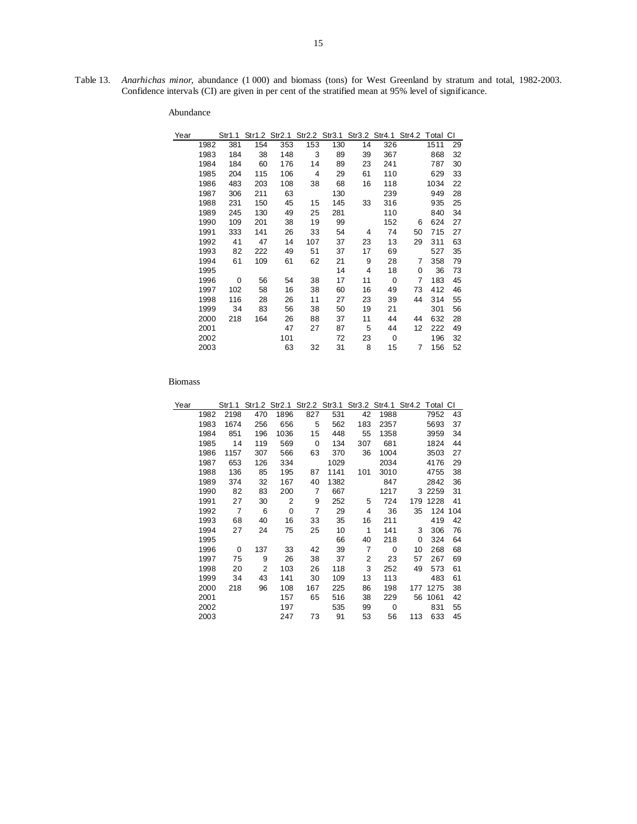15

Table 13. *Anarhichas minor*, abundance (1 000) and biomass (tons) for West Greenland by stratum and total, 1982-2003. Confidence intervals (CI) are given in per cent of the stratified mean at 95% level of significance.

| Year |      | Str1.1 |     | Str1.2 Str2.1 |     | Str2.2 Str3.1 |    | Str3.2 Str4.1 | Str4.2 Total CI |      |    |
|------|------|--------|-----|---------------|-----|---------------|----|---------------|-----------------|------|----|
|      | 1982 | 381    | 154 | 353           | 153 | 130           | 14 | 326           |                 | 1511 | 29 |
|      | 1983 | 184    | 38  | 148           | 3   | 89            | 39 | 367           |                 | 868  | 32 |
|      | 1984 | 184    | 60  | 176           | 14  | 89            | 23 | 241           |                 | 787  | 30 |
|      | 1985 | 204    | 115 | 106           | 4   | 29            | 61 | 110           |                 | 629  | 33 |
|      | 1986 | 483    | 203 | 108           | 38  | 68            | 16 | 118           |                 | 1034 | 22 |
|      | 1987 | 306    | 211 | 63            |     | 130           |    | 239           |                 | 949  | 28 |
|      | 1988 | 231    | 150 | 45            | 15  | 145           | 33 | 316           |                 | 935  | 25 |
|      | 1989 | 245    | 130 | 49            | 25  | 281           |    | 110           |                 | 840  | 34 |
|      | 1990 | 109    | 201 | 38            | 19  | 99            |    | 152           | 6               | 624  | 27 |
|      | 1991 | 333    | 141 | 26            | 33  | 54            | 4  | 74            | 50              | 715  | 27 |
|      | 1992 | 41     | 47  | 14            | 107 | 37            | 23 | 13            | 29              | 311  | 63 |
|      | 1993 | 82     | 222 | 49            | 51  | 37            | 17 | 69            |                 | 527  | 35 |
|      | 1994 | 61     | 109 | 61            | 62  | 21            | 9  | 28            | 7               | 358  | 79 |
|      | 1995 |        |     |               |     | 14            | 4  | 18            | 0               | 36   | 73 |
|      | 1996 | 0      | 56  | 54            | 38  | 17            | 11 | $\mathbf 0$   | 7               | 183  | 45 |
|      | 1997 | 102    | 58  | 16            | 38  | 60            | 16 | 49            | 73              | 412  | 46 |
|      | 1998 | 116    | 28  | 26            | 11  | 27            | 23 | 39            | 44              | 314  | 55 |
|      | 1999 | 34     | 83  | 56            | 38  | 50            | 19 | 21            |                 | 301  | 56 |
|      | 2000 | 218    | 164 | 26            | 88  | 37            | 11 | 44            | 44              | 632  | 28 |
|      | 2001 |        |     | 47            | 27  | 87            | 5  | 44            | 12              | 222  | 49 |
|      | 2002 |        |     | 101           |     | 72            | 23 | 0             |                 | 196  | 32 |
|      | 2003 |        |     | 63            | 32  | 31            | 8  | 15            | 7               | 156  | 52 |
|      |      |        |     |               |     |               |    |               |                 |      |    |

| Year |      | Str1.1         |     | Str1.2 Str2.1 |     | Str2.2 Str3.1 |                | Str3.2 Str4.1 Str4.2 |     | Total CI  |     |
|------|------|----------------|-----|---------------|-----|---------------|----------------|----------------------|-----|-----------|-----|
|      | 1982 | 2198           | 470 | 1896          | 827 | 531           | 42             | 1988                 |     | 7952      | 43  |
|      | 1983 | 1674           | 256 | 656           | 5   | 562           | 183            | 2357                 |     | 5693      | 37  |
|      | 1984 | 851            | 196 | 1036          | 15  | 448           | 55             | 1358                 |     | 3959      | 34  |
|      | 1985 | 14             | 119 | 569           | 0   | 134           | 307            | 681                  |     | 1824      | 44  |
|      | 1986 | 1157           | 307 | 566           | 63  | 370           | 36             | 1004                 |     | 3503      | 27  |
|      | 1987 | 653            | 126 | 334           |     | 1029          |                | 2034                 |     | 4176      | 29  |
|      | 1988 | 136            | 85  | 195           | 87  | 1141          | 101            | 3010                 |     | 4755      | 38  |
|      | 1989 | 374            | 32  | 167           | 40  | 1382          |                | 847                  |     | 2842      | 36  |
|      | 1990 | 82             | 83  | 200           | 7   | 667           |                | 1217                 |     | 3 2 2 5 9 | 31  |
|      | 1991 | 27             | 30  | 2             | 9   | 252           | 5              | 724                  | 179 | 1228      | 41  |
|      | 1992 | $\overline{7}$ | 6   | $\mathbf 0$   | 7   | 29            | 4              | 36                   | 35  | 124       | 104 |
|      | 1993 | 68             | 40  | 16            | 33  | 35            | 16             | 211                  |     | 419       | 42  |
|      | 1994 | 27             | 24  | 75            | 25  | 10            | 1              | 141                  | 3   | 306       | 76  |
|      | 1995 |                |     |               |     | 66            | 40             | 218                  | 0   | 324       | 64  |
|      | 1996 | 0              | 137 | 33            | 42  | 39            | $\overline{7}$ | $\Omega$             | 10  | 268       | 68  |
|      | 1997 | 75             | 9   | 26            | 38  | 37            | 2              | 23                   | 57  | 267       | 69  |
|      | 1998 | 20             | 2   | 103           | 26  | 118           | 3              | 252                  | 49  | 573       | 61  |
|      | 1999 | 34             | 43  | 141           | 30  | 109           | 13             | 113                  |     | 483       | 61  |
|      | 2000 | 218            | 96  | 108           | 167 | 225           | 86             | 198                  | 177 | 1275      | 38  |
|      | 2001 |                |     | 157           | 65  | 516           | 38             | 229                  | 56  | 1061      | 42  |
|      | 2002 |                |     | 197           |     | 535           | 99             | 0                    |     | 831       | 55  |
|      | 2003 |                |     | 247           | 73  | 91            | 53             | 56                   | 113 | 633       | 45  |
|      |      |                |     |               |     |               |                |                      |     |           |     |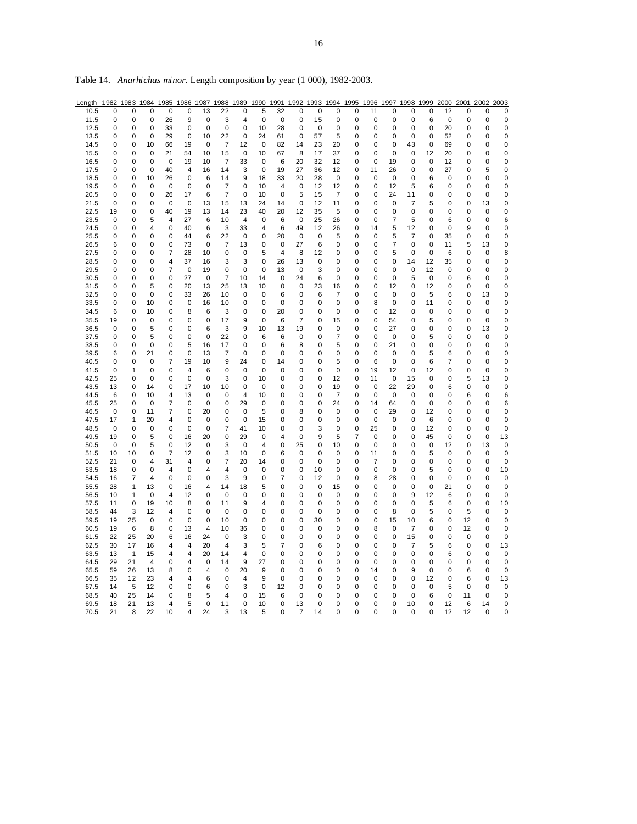| Length | 1982 | 1983 | 1984        | 1985           | 1986        | 1987 | 1988 | 1989        | 1990        | 1991           | 1992           | 1993 | 1994           | 1995      | 1996        | 1997 | 1998           | 1999        | 2000        | 2001        | 2002 | 2003        |
|--------|------|------|-------------|----------------|-------------|------|------|-------------|-------------|----------------|----------------|------|----------------|-----------|-------------|------|----------------|-------------|-------------|-------------|------|-------------|
| 10.5   | 0    | 0    | $\mathbf 0$ | $\mathbf 0$    | $\mathbf 0$ | 13   | 22   | 0           | 5           | 32             | 0              | 0    | 0              | 0         | 11          | 0    | 0              | 0           | 12          | $\mathbf 0$ | 0    | $\mathbf 0$ |
| 11.5   | 0    | 0    | 0           | 26             | 9           | 0    | 3    | 4           | 0           | 0              | 0              | 15   | 0              | 0         | 0           | 0    | 0              | 6           | $\mathbf 0$ | 0           | 0    | 0           |
| 12.5   | 0    | 0    | 0           | 33             | 0           | 0    | 0    | 0           | 10          | 28             | 0              | 0    | 0              | 0         | $\pmb{0}$   | 0    | 0              | 0           | 20          | 0           | 0    | 0           |
|        | 0    | 0    | 0           | 29             | 0           | 10   |      | 0           | 24          |                | 0              | 57   | 5              | 0         | $\mathbf 0$ | 0    | 0              | 0           |             | 0           | 0    |             |
| 13.5   |      |      |             |                |             |      | 22   |             |             | 61             |                |      |                |           |             |      |                |             | 52          |             |      | 0           |
| 14.5   | 0    | 0    | 10          | 66             | 19          | 0    | 7    | 12          | 0           | 82             | 14             | 23   | 20             | 0         | 0           | 0    | 43             | 0           | 69          | 0           | 0    | 0           |
| 15.5   | 0    | 0    | 0           | 21             | 54          | 10   | 15   | 0           | 10          | 67             | 8              | 17   | 37             | 0         | 0           | 0    | 0              | 12          | 20          | 0           | 0    | $\mathbf 0$ |
| 16.5   | 0    | 0    | 0           | 0              | 19          | 10   | 7    | 33          | 0           | 6              | 20             | 32   | 12             | 0         | 0           | 19   | 0              | 0           | 12          | 0           | 0    | 0           |
| 17.5   | 0    | 0    | 0           | 40             | 4           | 16   | 14   | 3           | $\mathbf 0$ | 19             | 27             | 36   | 12             | 0         | 11          | 26   | 0              | 0           | 27          | 0           | 5    | 0           |
| 18.5   | 0    | 0    | 10          | 26             | 0           | 6    | 14   | 9           | 18          | 33             | 20             | 28   | $\mathbf 0$    | 0         | $\pmb{0}$   | 0    | 0              | 6           | 0           | $\mathbf 0$ | 0    | 0           |
| 19.5   | 0    | 0    | 0           | 0              | 0           | 0    | 7    | 0           | 10          | 4              | 0              | 12   | 12             | 0         | 0           | 12   | 5              | 6           | 0           | 0           | 0    | 0           |
| 20.5   | 0    | 0    | 0           | 26             | 17          | 6    | 7    | 0           | 10          | 0              | 5              | 15   | $\overline{7}$ | 0         | 0           | 24   | 11             | 0           | 0           | 0           | 0    | $\mathbf 0$ |
| 21.5   | 0    | 0    | 0           | 0              | 0           | 13   | 15   | 13          | 24          | 14             | 0              | 12   | 11             | 0         | 0           | 0    | 7              | 5           | 0           | 0           | 13   | 0           |
| 22.5   | 19   | 0    | 0           | 40             | 19          | 13   | 14   | 23          | 40          | 20             | 12             | 35   | 5              | 0         | 0           | 0    | 0              | 0           | 0           | 0           | 0    | 0           |
| 23.5   | 0    | 0    | 5           | 4              | 27          | 6    | 10   | 4           | 0           | 6              | 0              | 25   | 26             | 0         | $\mathbf 0$ | 7    | 5              | 0           | 6           | 0           | 0    | 6           |
| 24.5   | 0    | 0    | 4           | 0              | 40          | 6    | 3    | 33          | 4           | 6              | 49             | 12   | 26             | $\pmb{0}$ | 14          | 5    | 12             | 0           | 0           | 9           | 0    | 0           |
| 25.5   | 0    | 0    | $\mathbf 0$ | 0              | 44          | 6    | 22   | $\mathbf 0$ | 0           | 20             | 0              | 0    | 5              | 0         | 0           | 5    | $\overline{7}$ | 0           | 35          | 0           | 0    | 0           |
| 26.5   | 6    | 0    | 0           | 0              | 73          | 0    | 7    | 13          | 0           | 0              | 27             | 6    | 0              | 0         | 0           | 7    | 0              | 0           | 11          | 5           | 13   | 0           |
| 27.5   | 0    | 0    | 0           | 7              | 28          | 10   | 0    | 0           | 5           | 4              | 8              | 12   | 0              | 0         | 0           | 5    | 0              | 0           | 6           | 0           | 0    | 8           |
|        |      |      |             |                |             |      |      |             |             |                |                |      |                |           |             |      |                |             |             |             |      |             |
| 28.5   | 0    | 0    | 0           | 4              | 37          | 16   | 3    | 3           | 0           | 26             | 13             | 0    | 0              | 0         | 0           | 0    | 14             | 12          | 35          | 0           | 0    | 0           |
| 29.5   | 0    | 0    | 0           | 7              | 0           | 19   | 0    | 0           | 0           | 13             | 0              | 3    | 0              | 0         | 0           | 0    | 0              | 12          | 0           | 0           | 0    | 0           |
| 30.5   | 0    | 0    | 0           | 0              | 27          | 0    | 7    | 10          | 14          | 0              | 24             | 6    | 0              | 0         | 0           | 0    | 5              | 0           | 0           | 6           | 0    | 0           |
| 31.5   | 0    | 0    | 5           | 0              | 20          | 13   | 25   | 13          | 10          | 0              | 0              | 23   | 16             | 0         | 0           | 12   | 0              | 12          | 0           | 0           | 0    | 0           |
| 32.5   | 0    | 0    | 0           | 0              | 33          | 26   | 10   | 0           | 0           | 6              | 0              | 6    | 7              | 0         | 0           | 0    | 0              | 5           | 6           | 0           | 13   | 0           |
| 33.5   | 0    | 0    | 10          | 0              | 0           | 16   | 10   | 0           | 0           | 0              | 0              | 0    | 0              | 0         | 8           | 0    | 0              | 11          | 0           | 0           | 0    | 0           |
| 34.5   | 6    | 0    | 10          | 0              | 8           | 6    | 3    | 0           | 0           | 20             | 0              | 0    | 0              | 0         | 0           | 12   | 0              | 0           | 0           | 0           | 0    | 0           |
| 35.5   | 19   | 0    | 0           | 0              | 0           | 0    | 17   | 9           | $\mathbf 0$ | 6              | $\overline{7}$ | 0    | 15             | 0         | $\mathbf 0$ | 54   | 0              | 5           | 0           | 0           | 0    | 0           |
| 36.5   | 0    | 0    | 5           | 0              | 0           | 6    | 3    | 9           | 10          | 13             | 19             | 0    | 0              | 0         | 0           | 27   | 0              | 0           | 0           | 0           | 13   | 0           |
| 37.5   | 0    | 0    | 5           | 0              | 0           | 0    | 22   | 0           | 6           | 6              | 0              | 0    | 7              | 0         | 0           | 0    | 0              | 5           | 0           | 0           | 0    | 0           |
| 38.5   | 0    | 0    | 0           | 0              | 5           | 16   | 17   | 0           | 0           | 6              | 8              | 0    | 5              | 0         | 0           | 21   | 0              | 0           | 0           | 0           | 0    | 0           |
| 39.5   | 6    | 0    | 21          | 0              | 0           | 13   | 7    | 0           | 0           | 0              | 0              | 0    | 0              | 0         | $\mathbf 0$ | 0    | 0              | 5           | 6           | 0           | 0    | 0           |
| 40.5   | 0    | 0    | 0           | 7              | 19          | 10   | 9    | 24          | 0           | 14             | 0              | 0    | 5              | 0         | 6           | 0    | 0              | 6           | 7           | 0           | 0    | 0           |
| 41.5   | 0    | 1    | 0           | 0              | 4           | 6    | 0    | 0           | 0           | 0              | 0              | 0    | 0              | 0         | 19          | 12   | 0              | 12          | 0           | 0           | 0    | 0           |
| 42.5   | 25   | 0    | 0           | 0              | $\mathbf 0$ | 0    | 3    | 0           | 10          | 0              | 0              | 0    | 12             | 0         | 11          | 0    | 15             | 0           | 0           | 5           | 13   | 0           |
| 43.5   | 13   | 0    | 14          | 0              | 17          | 10   | 10   | 0           | 0           | 0              | 0              | 0    | 19             | 0         | 0           | 22   | 29             | 0           | 6           | 0           | 0    | 0           |
| 44.5   | 6    | 0    | 10          | $\overline{4}$ | 13          | 0    | 0    | 4           | 10          | 0              | 0              | 0    | $\overline{7}$ | 0         | $\mathbf 0$ | 0    | $\mathbf 0$    | 0           | 0           | 6           | 0    | 6           |
|        | 25   | 0    | 0           | 7              | 0           | 0    | 0    | 29          | 0           | 0              | 0              | 0    | 24             | 0         | 14          | 64   | 0              | 0           | 0           | 0           | 0    | 6           |
| 45.5   |      |      |             |                |             |      |      |             |             |                |                |      |                |           |             |      |                |             |             |             |      |             |
| 46.5   | 0    | 0    | 11          | 7              | 0           | 20   | 0    | 0           | 5           | 0              | 8              | 0    | 0              | 0         | 0           | 29   | 0              | 12          | 0           | 0           | 0    | 0           |
| 47.5   | 17   | 1    | 20          | 4              | 0           | 0    | 0    | 0           | 15          | 0              | 0              | 0    | 0              | 0         | 0           | 0    | 0              | 6           | 0           | 0           | 0    | 0           |
| 48.5   | 0    | 0    | 0           | 0              | 0           | 0    | 7    | 41          | 10          | 0              | 0              | 3    | 0              | $\pmb{0}$ | 25          | 0    | 0              | 12          | 0           | 0           | 0    | 0           |
| 49.5   | 19   | 0    | 5           | 0              | 16          | 20   | 0    | 29          | 0           | $\overline{4}$ | 0              | 9    | 5              | 7         | 0           | 0    | 0              | 45          | 0           | 0           | 0    | 13          |
| 50.5   | 0    | 0    | 5           | 0              | 12          | 0    | 3    | 0           | 4           | 0              | 25             | 0    | 10             | 0         | 0           | 0    | 0              | 0           | 12          | 0           | 13   | 0           |
| 51.5   | 10   | 10   | 0           | 7              | 12          | 0    | 3    | 10          | 0           | 6              | 0              | 0    | 0              | 0         | 11          | 0    | 0              | 5           | 0           | 0           | 0    | 0           |
| 52.5   | 21   | 0    | 4           | 31             | 4           | 0    | 7    | 20          | 14          | 0              | 0              | 0    | 0              | 0         | 7           | 0    | 0              | 0           | 0           | 0           | 0    | 0           |
| 53.5   | 18   | 0    | 0           | 4              | $\mathbf 0$ | 4    | 4    | 0           | 0           | 0              | 0              | 10   | 0              | 0         | $\mathbf 0$ | 0    | 0              | 5           | 0           | 0           | 0    | 10          |
| 54.5   | 16   | 7    | 4           | 0              | 0           | 0    | 3    | 9           | 0           | 7              | 0              | 12   | 0              | 0         | 8           | 28   | 0              | 0           | 0           | 0           | 0    | 0           |
| 55.5   | 28   | 1    | 13          | 0              | 16          | 4    | 14   | 18          | 5           | 0              | 0              | 0    | 15             | 0         | 0           | 0    | 0              | 0           | 21          | 0           | 0    | 0           |
| 56.5   | 10   | 1    | 0           | $\overline{4}$ | 12          | 0    | 0    | 0           | 0           | 0              | 0              | 0    | 0              | 0         | 0           | 0    | 9              | 12          | 6           | 0           | 0    | 0           |
| 57.5   | 11   | 0    | 19          | 10             | 8           | 0    | 11   | 9           | 4           | 0              | 0              | 0    | 0              | 0         | 0           | 0    | 0              | 5           | 6           | 0           | 0    | 10          |
| 58.5   | 44   | 3    | 12          | 4              | 0           | 0    | 0    | 0           | 0           | 0              | 0              | 0    | 0              | 0         | 0           | 8    | 0              | 5           | 0           | 5           | 0    | 0           |
| 59.5   | 19   | 25   | 0           | 0              | 0           | 0    | 10   | 0           | 0           | 0              | 0              | 30   | 0              | 0         | 0           | 15   | 10             | 6           | 0           | 12          | 0    | 0           |
| 60.5   | 19   | 6    | 8           | 0              | 13          | 4    | 10   | 36          | 0           | 0              | 0              | 0    | 0              | 0         | 8           | 0    | 7              | 0           | 0           | 12          | 0    | 0           |
| 61.5   | 22   | 25   | 20          | 6              | 16          | 24   | 0    | 3           | 0           | 0              | 0              | 0    | 0              | 0         | 0           | 0    | 15             | 0           | 0           | 0           | 0    | 0           |
| 62.5   | 30   | 17   | 16          | 4              | 4           | 20   | 4    | 3           | 5           | 7              | 0              | 6    | 0              | 0         | 0           | 0    | 7              | 5           | 6           | 0           | 0    | 13          |
| 63.5   | 13   | 1    | 15          | 4              | 4           | 20   | 14   | 4           | $\mathbf 0$ | 0              | 0              | 0    | 0              | 0         | 0           | 0    | 0              | 0           | 6           | 0           | 0    | 0           |
|        |      |      |             |                |             |      |      |             |             |                |                |      |                |           |             |      |                |             |             |             |      |             |
| 64.5   | 29   | 21   | 4           | 0              | 4           | 0    | 14   | 9           | 27          | 0              | 0              | 0    | 0              | 0         | 0           | 0    | 0              | 0           | 0           | 0           | 0    | 0           |
| 65.5   | 59   | 26   | 13          | 8              | 0           | 4    | 0    | 20          | 9           | 0              | 0              | 0    | 0              | 0         | 14          | 0    | 9              | 0           | 0           | 6           | 0    | 0           |
| 66.5   | 35   | 12   | 23          | 4              | 4           | 6    | 0    | 4           | 9           | 0              | 0              | 0    | 0              | 0         | 0           | 0    | 0              | 12          | 0           | 6           | 0    | 13          |
| 67.5   | 14   | 5    | 12          | 0              | 0           | 6    | 0    | 3           | $\mathbf 0$ | 12             | 0              | 0    | 0              | 0         | 0           | 0    | 0              | $\mathbf 0$ | 5           | 0           | 0    | 0           |
| 68.5   | 40   | 25   | 14          | 0              | 8           | 5    | 4    | 0           | 15          | 6              | 0              | 0    | 0              | 0         | $\mathbf 0$ | 0    | 0              | 6           | 0           | 11          | 0    | 0           |
| 69.5   | 18   | 21   | 13          | 4              | 5           | 0    | 11   | 0           | 10          | 0              | 13             | 0    | 0              | 0         | 0           | 0    | 10             | 0           | 12          | 6           | 14   | 0           |
| 70.5   | 21   | 8    | 22          | 10             | 4           | 24   | 3    | 13          | 5           | O              | 7              | 14   | ი              | 0         | $\Omega$    | O    | 0              | በ           | 12          | 12          | 0    | 0           |

Table 14. *Anarhichas minor*. Length composition by year (1 000), 1982-2003.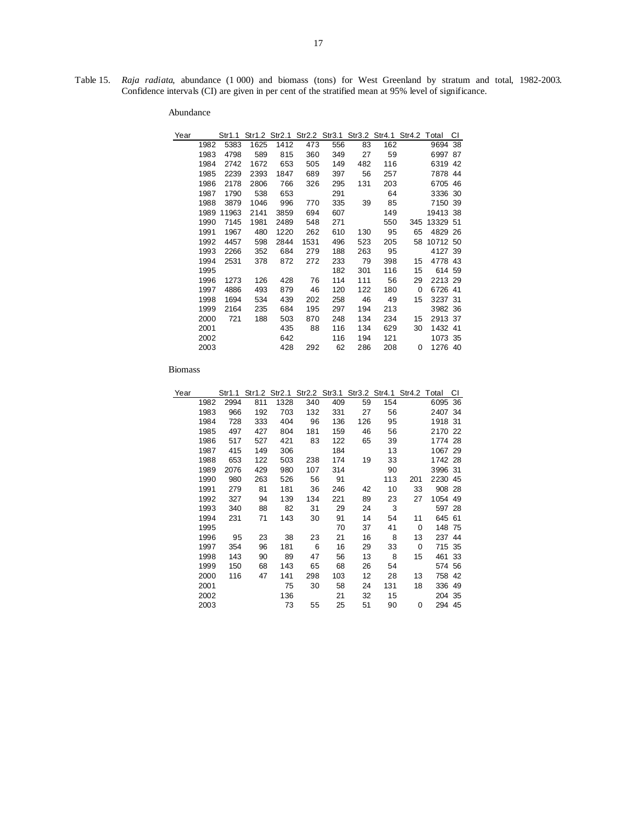Table 15. *Raja radiata*, abundance (1 000) and biomass (tons) for West Greenland by stratum and total, 1982-2003. Confidence intervals (CI) are given in per cent of the stratified mean at 95% level of significance.

| Year |      | Str1.1 |      |      |      |     |     | Str1.2 Str2.1 Str2.2 Str3.1 Str3.2 Str4.1 Str4.2 Total |     |          | СI |
|------|------|--------|------|------|------|-----|-----|--------------------------------------------------------|-----|----------|----|
|      | 1982 | 5383   | 1625 | 1412 | 473  | 556 | 83  | 162                                                    |     | 9694     | 38 |
|      | 1983 | 4798   | 589  | 815  | 360  | 349 | 27  | 59                                                     |     | 6997 87  |    |
|      | 1984 | 2742   | 1672 | 653  | 505  | 149 | 482 | 116                                                    |     | 6319 42  |    |
|      | 1985 | 2239   | 2393 | 1847 | 689  | 397 | 56  | 257                                                    |     | 7878 44  |    |
|      | 1986 | 2178   | 2806 | 766  | 326  | 295 | 131 | 203                                                    |     | 6705 46  |    |
|      | 1987 | 1790   | 538  | 653  |      | 291 |     | 64                                                     |     | 3336 30  |    |
|      | 1988 | 3879   | 1046 | 996  | 770  | 335 | 39  | 85                                                     |     | 7150 39  |    |
|      | 1989 | 11963  | 2141 | 3859 | 694  | 607 |     | 149                                                    |     | 19413 38 |    |
|      | 1990 | 7145   | 1981 | 2489 | 548  | 271 |     | 550                                                    | 345 | 13329 51 |    |
|      | 1991 | 1967   | 480  | 1220 | 262  | 610 | 130 | 95                                                     | 65  | 4829 26  |    |
|      | 1992 | 4457   | 598  | 2844 | 1531 | 496 | 523 | 205                                                    | 58  | 10712 50 |    |
|      | 1993 | 2266   | 352  | 684  | 279  | 188 | 263 | 95                                                     |     | 4127 39  |    |
|      | 1994 | 2531   | 378  | 872  | 272  | 233 | 79  | 398                                                    | 15  | 4778 43  |    |
|      | 1995 |        |      |      |      | 182 | 301 | 116                                                    | 15  | 614 59   |    |
|      | 1996 | 1273   | 126  | 428  | 76   | 114 | 111 | 56                                                     | 29  | 2213 29  |    |
|      | 1997 | 4886   | 493  | 879  | 46   | 120 | 122 | 180                                                    | 0   | 6726 41  |    |
|      | 1998 | 1694   | 534  | 439  | 202  | 258 | 46  | 49                                                     | 15  | 3237 31  |    |
|      | 1999 | 2164   | 235  | 684  | 195  | 297 | 194 | 213                                                    |     | 3982 36  |    |
|      | 2000 | 721    | 188  | 503  | 870  | 248 | 134 | 234                                                    | 15  | 2913 37  |    |
|      | 2001 |        |      | 435  | 88   | 116 | 134 | 629                                                    | 30  | 1432 41  |    |
|      | 2002 |        |      | 642  |      | 116 | 194 | 121                                                    |     | 1073 35  |    |
|      | 2003 |        |      | 428  | 292  | 62  | 286 | 208                                                    | 0   | 1276 40  |    |
|      |      |        |      |      |      |     |     |                                                        |     |          |    |

| Year |      |      |     |      |     |     |     | Str1.1 Str1.2 Str2.1 Str2.2 Str3.1 Str3.2 Str4.1 Str4.2 Total |     |         | СI |
|------|------|------|-----|------|-----|-----|-----|---------------------------------------------------------------|-----|---------|----|
|      | 1982 | 2994 | 811 | 1328 | 340 | 409 | 59  | 154                                                           |     | 6095 36 |    |
|      | 1983 | 966  | 192 | 703  | 132 | 331 | 27  | 56                                                            |     | 2407 34 |    |
|      | 1984 | 728  | 333 | 404  | 96  | 136 | 126 | 95                                                            |     | 1918 31 |    |
|      | 1985 | 497  | 427 | 804  | 181 | 159 | 46  | 56                                                            |     | 2170 22 |    |
|      | 1986 | 517  | 527 | 421  | 83  | 122 | 65  | 39                                                            |     | 1774 28 |    |
|      | 1987 | 415  | 149 | 306  |     | 184 |     | 13                                                            |     | 1067 29 |    |
|      | 1988 | 653  | 122 | 503  | 238 | 174 | 19  | 33                                                            |     | 1742 28 |    |
|      | 1989 | 2076 | 429 | 980  | 107 | 314 |     | 90                                                            |     | 3996 31 |    |
|      | 1990 | 980  | 263 | 526  | 56  | 91  |     | 113                                                           | 201 | 2230 45 |    |
|      | 1991 | 279  | 81  | 181  | 36  | 246 | 42  | 10                                                            | 33  | 908 28  |    |
|      | 1992 | 327  | 94  | 139  | 134 | 221 | 89  | 23                                                            | 27  | 1054 49 |    |
|      | 1993 | 340  | 88  | 82   | 31  | 29  | 24  | 3                                                             |     | 597 28  |    |
|      | 1994 | 231  | 71  | 143  | 30  | 91  | 14  | 54                                                            | 11  | 645 61  |    |
|      | 1995 |      |     |      |     | 70  | 37  | 41                                                            | 0   | 148 75  |    |
|      | 1996 | 95   | 23  | 38   | 23  | 21  | 16  | 8                                                             | 13  | 237 44  |    |
|      | 1997 | 354  | 96  | 181  | 6   | 16  | 29  | 33                                                            | 0   | 715 35  |    |
|      | 1998 | 143  | 90  | 89   | 47  | 56  | 13  | 8                                                             | 15  | 461 33  |    |
|      | 1999 | 150  | 68  | 143  | 65  | 68  | 26  | 54                                                            |     | 574 56  |    |
|      | 2000 | 116  | 47  | 141  | 298 | 103 | 12  | 28                                                            | 13  | 758 42  |    |
|      | 2001 |      |     | 75   | 30  | 58  | 24  | 131                                                           | 18  | 336 49  |    |
|      | 2002 |      |     | 136  |     | 21  | 32  | 15                                                            |     | 204 35  |    |
|      | 2003 |      |     | 73   | 55  | 25  | 51  | 90                                                            | 0   | 294 45  |    |
|      |      |      |     |      |     |     |     |                                                               |     |         |    |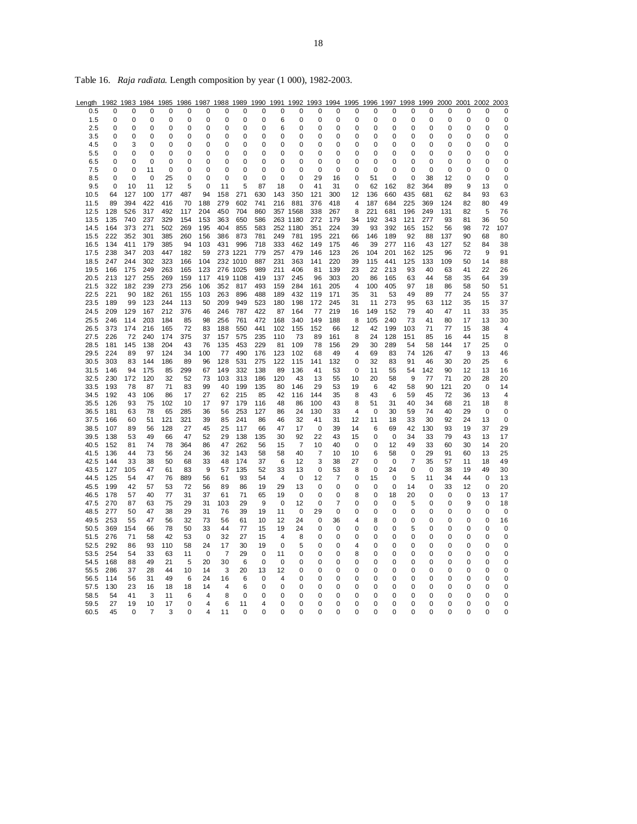| Length | 1982        | 1983        | 1984        | 1985 | 1986     | 1987        | 1988        | 1989     | 1990     | 1991           | 1992        | 1993        | 1994 | 1995     | 1996        | 1997        | 1998        | 1999     | 2000 | 2001     | 2002        | 2003        |
|--------|-------------|-------------|-------------|------|----------|-------------|-------------|----------|----------|----------------|-------------|-------------|------|----------|-------------|-------------|-------------|----------|------|----------|-------------|-------------|
| 0.5    | 0           | 0           | 0           | 0    | 0        | 0           | 0           | 0        | 0        | 0              | 0           | 0           | 0    | 0        | 0           | 0           | 0           | 0        | 0    | 0        | 0           | 0           |
| 1.5    | 0           | 0           | 0           | 0    | 0        | 0           | $\mathbf 0$ | 0        | 0        | 6              | 0           | 0           | 0    | 0        | 0           | 0           | 0           | 0        | 0    | 0        | 0           | $\mathbf 0$ |
| 2.5    | 0           | 0           | 0           | 0    | 0        | 0           | $\mathbf 0$ | 0        | 0        | 6              | 0           | 0           | 0    | 0        | $\Omega$    | 0           | 0           | 0        | 0    | $\Omega$ | 0           | $\mathbf 0$ |
| 3.5    | 0           | 0           | 0           | 0    | $\Omega$ | $\Omega$    | $\Omega$    | $\Omega$ | $\Omega$ | 0              | $\Omega$    | $\Omega$    | 0    | $\Omega$ | $\Omega$    | $\Omega$    | $\Omega$    | $\Omega$ | 0    | $\Omega$ | 0           | 0           |
| 4.5    | 0           | 3           | 0           | 0    | 0        | 0           | 0           | 0        | 0        | U              | 0           | 0           | 0    | 0        | O           | 0           | 0           | 0        | 0    | O        | 0           | 0           |
| 5.5    | 0           | 0           | 0           | 0    | 0        | 0           | 0           | 0        | 0        | 0              | 0           | 0           | 0    | 0        | 0           | 0           | 0           | 0        | 0    | 0        | 0           | 0           |
| 6.5    | 0           | 0           | 0           | 0    | 0        | 0           | 0           | 0        | 0        | ი              | 0           | 0           | 0    | 0        | O           | 0           | 0           | 0        | 0    | 0        | 0           | 0           |
| 7.5    | 0           | 0           | 11          | 0    | 0        | 0           | $\mathbf 0$ | 0        | 0        | 0              | 0           | 0           | 0    | 0        | 0           | 0           | 0           | 0        | 0    | 0        | 0           | $\mathbf 0$ |
| 8.5    | $\mathbf 0$ | $\mathbf 0$ | $\mathbf 0$ | 25   | 0        | $\mathbf 0$ | $\mathbf 0$ | 0        | 0        | 0              | 0           | 29          | 16   | 0        | 51          | $\mathbf 0$ | 0           | 38       | 12   | 0        | $\mathbf 0$ | $\mathbf 0$ |
| 9.5    | 0           | 10          | 11          | 12   | 5        | 0           | 11          | 5        | 87       | 18             | $\mathbf 0$ | 41          | 31   | 0        | 62          | 162         | 82          | 364      | 89   | 9        | 13          | 0           |
| 10.5   | 64          | 127         | 100         | 177  | 487      | 94          | 158         | 271      | 630      | 143            | 350         | 121         | 300  | 12       | 136         | 660         | 435         | 681      | 62   | 84       | 93          | 63          |
| 11.5   | 89          | 394         | 422         | 416  | 70       | 188         | 279         | 602      | 741      | 216            | 881         | 376         | 418  | 4        | 187         | 684         | 225         | 369      | 124  | 82       | 80          | 49          |
| 12.5   | 128         | 526         | 317         | 492  | 117      | 204         | 450         | 704      | 860      | 357            | 1568        | 338         | 267  | 8        | 221         | 681         | 196         | 249      | 131  | 82       | 5           | 76          |
| 13.5   | 135         | 740         | 237         | 329  | 154      | 153         | 363         | 650      | 586      |                | 263 1180    | 272         | 179  | 34       | 192         | 343         | 121         | 277      | 93   | 81       | 36          | 50          |
| 14.5   | 164         | 373         | 271         | 502  | 269      | 195         | 404         | 855      | 583      | 252            | 1180        | 351         | 224  | 39       | 93          | 392         | 165         | 152      | 56   | 98       | 72          | 107         |
| 15.5   | 222         | 352         | 301         | 385  | 260      | 156         | 386         | 873      | 781      | 249            | 781         | 195         | 221  | 66       | 146         | 189         | 92          | 88       | 137  | 90       | 68          | 80          |
| 16.5   | 134         | 411         | 179         | 385  | 94       | 103         | 431         | 996      | 718      | 333            | 462         | 149         | 175  | 46       | 39          | 277         | 116         | 43       | 127  | 52       | 84          | 38          |
| 17.5   | 238         | 347         | 203         | 447  | 182      | 59          |             | 273 1221 | 779      | 257            | 479         | 146         | 123  | 26       | 104         | 201         | 162         | 125      | 96   | 72       | 9           | 91          |
| 18.5   | 247         | 244         | 302         | 323  | 166      | 104         |             | 232 1010 | 887      | 231            | 363         | 141         | 220  | 39       | 115         | 441         | 125         | 133      | 109  | 50       | 14          | 88          |
| 19.5   | 166         | 175         | 249         | 263  | 165      | 123         |             | 276 1025 | 989      | 211            | 406         | 81          | 139  | 23       | 22          | 213         | 93          | 40       | 63   | 41       | 22          | 26          |
| 20.5   | 213         | 127         | 255         | 269  | 159      | 117         |             | 419 1108 | 419      | 137            | 245         | 96          | 303  | 20       | 86          | 165         | 63          | 44       | 58   | 35       | 64          | 39          |
| 21.5   | 322         | 182         | 239         | 273  | 256      | 106         | 352         | 817      | 493      | 159            | 284         | 161         | 205  | 4        | 100         | 405         | 97          | 18       | 86   | 58       | 50          | 51          |
| 22.5   | 221         | 90          | 182         | 261  | 155      | 103         | 263         | 896      | 488      | 189            | 432         | 119         | 171  | 35       | 31          | 53          | 49          | 89       | 77   | 24       | 55          | 37          |
| 23.5   | 189         | 99          | 123         | 244  | 113      | 50          | 209         | 949      | 523      | 180            | 198         | 172         | 245  | 31       | 11          | 273         | 95          | 63       | 112  | 35       | 15          | 37          |
| 24.5   | 209         | 129         | 167         | 212  | 376      | 46          | 246         | 787      | 422      | 87             | 164         | 77          | 219  | 16       | 149         | 152         | 79          | 40       | 47   | 11       | 33          | 35          |
| 25.5   | 246         | 114         | 203         | 184  | 85       | 98          | 256         | 761      | 472      | 168            | 340         | 149         | 188  | 8        | 105         | 240         | 73          | 41       | 80   | 17       | 13          | 30          |
| 26.5   | 373         | 174         | 216         | 165  | 72       | 83          | 188         | 550      | 441      | 102            | 155         | 152         | 66   | 12       | 42          | 199         | 103         | 71       | 77   | 15       | 38          | 4           |
| 27.5   | 226         | 72          | 240         | 174  | 375      | 37          | 157         | 575      | 235      | 110            | 73          | 89          | 161  | 8        | 24          | 128         | 151         | 85       | 16   | 44       | 15          | 8           |
| 28.5   | 181         | 145         | 138         | 204  | 43       | 76          | 135         | 453      | 229      | 81             | 109         | 78          | 156  | 29       | 30          | 289         | 54          | 58       | 144  | 17       | 25          | 0           |
| 29.5   | 224         | 89          | 97          | 124  | 34       | 100         | 77          | 490      | 176      | 123            | 102         | 68          | 49   | 4        | 69          | 83          | 74          | 126      | 47   | 9        | 13          | 46          |
| 30.5   | 303         | 83          | 144         | 186  | 89       | 96          | 128         | 531      | 275      | 122            | 115         | 141         | 132  | 0        | 32          | 83          | 91          | 46       | 30   | 20       | 25          | 6           |
| 31.5   | 146         | 94          | 175         | 85   | 299      | 67          | 149         | 332      | 138      | 89             | 136         | 41          | 53   | 0        | 11          | 55          | 54          | 142      | 90   | 12       | 13          | 16          |
| 32.5   | 230         | 172         | 120         | 32   | 52       | 73          | 103         | 313      | 186      | 120            | 43          | 13          | 55   | 10       | 20          | 58          | 9           | 77       | 71   | 20       | 28          | 20          |
| 33.5   | 193         | 78          | 87          | 71   | 83       | 99          | 40          | 199      | 135      | 80             | 146         | 29          | 53   | 19       | 6           | 42          | 58          | 90       | 121  | 20       | $\mathbf 0$ | 14          |
| 34.5   | 192         | 43          | 106         | 86   | 17       | 27          | 62          | 215      | 85       | 42             | 116         | 144         | 35   | 8        | 43          | 6           | 59          | 45       | 72   | 36       | 13          | 4           |
| 35.5   | 126         | 93          | 75          | 102  | 10       | 17          | 97          | 179      | 116      | 48             | 86          | 100         | 43   | 8        | 51          | 31          | 40          | 34       | 68   | 21       | 18          | 8           |
| 36.5   | 181         | 63          | 78          | 65   | 285      | 36          | 56          | 253      | 127      | 86             | 24          | 130         | 33   | 4        | 0           | 30          | 59          | 74       | 40   | 29       | 0           | 0           |
| 37.5   | 166         | 60          | 51          | 121  | 321      | 39          | 85          | 241      | 86       | 46             | 32          | 41          | 31   | 12       | 11          | 18          | 33          | 30       | 92   | 24       | 13          | 0           |
| 38.5   | 107         | 89          | 56          | 128  | 27       | 45          | 25          | 117      | 66       | 47             | 17          | 0           | 39   | 14       | 6           | 69          | 42          | 130      | 93   | 19       | 37          | 29          |
| 39.5   | 138         | 53          | 49          | 66   | 47       | 52          | 29          | 138      | 135      | 30             | 92          | 22          | 43   | 15       | 0           | 0           | 34          | 33       | 79   | 43       | 13          | 17          |
| 40.5   | 152         | 81          | 74          | 78   | 364      | 86          | 47          | 262      | 56       | 15             | 7           | 10          | 40   | 0        | 0           | 12          | 49          | 33       | 60   | 30       | 14          | 20          |
| 41.5   | 136         | 44          | 73          | 56   | 24       | 36          | 32          | 143      | 58       | 58             | 40          | 7           | 10   | 10       | 6           | 58          | 0           | 29       | 91   | 60       | 13          | 25          |
| 42.5   | 144         | 33          | 38          | 50   | 68       | 33          | 48          | 174      | 37       | 6              | 12          | 3           | 38   | 27       | 0           | $\mathbf 0$ | 7           | 35       | 57   | 11       | 18          | 49          |
| 43.5   | 127         | 105         | 47          | 61   | 83       | 9           | 57          | 135      | 52       | 33             | 13          | 0           | 53   | 8        | $\mathbf 0$ | 24          | 0           | 0        | 38   | 19       | 49          | 30          |
| 44.5   | 125         | 54          | 47          | 76   | 889      | 56          | 61          | 93       | 54       | $\overline{4}$ | $\mathbf 0$ | 12          | 7    | 0        | 15          | 0           | 5           | 11       | 34   | 44       | $\mathbf 0$ | 13          |
| 45.5   | 199         | 42          | 57          | 53   | 72       | 56          | 89          | 86       | 19       | 29             | 13          | 0           | 0    | 0        | 0           | 0           | 14          | 0        | 33   | 12       | 0           | 20          |
| 46.5   | 178         | 57          | 40          | 77   | 31       | 37          | 61          | 71       | 65       | 19             | 0           | 0           | 0    | 8        | 0           | 18          | 20          | 0        | 0    | 0        | 13          | 17          |
| 47.5   | 270         | 87          | 63          | 75   | 29       | 31          | 103         | 29       | 9        | 0              | 12          | 0           | 7    | 0        | 0           | $\mathbf 0$ | 5           | 0        | 0    | 9        | 0           | 18          |
| 48.5   | 277         | 50          | 47          | 38   | 29       | 31          | 76          | 39       | 19       | 11             | 0           | 29          | 0    | 0        | O           | $\mathbf 0$ | 0           | 0        | 0    | 0        | $\mathbf 0$ | 0           |
| 49.5   | 253         | 55          | 47          | 56   | 32       | 73          | 56          | 61       | 10       | 12             | 24          | 0           | 36   | 4        | 8           | 0           | 0           | 0        | 0    | 0        | 0           | 16          |
| 50.5   | 369         | 154         | 66          | 78   | 50       | 33          | 44          | 77       | 15       | 19             | 24          | 0           | 0    | 0        | 0           | 0           | 5           | 0        | 0    | 0        | 0           | $\mathbf 0$ |
| 51.5   | 276         | 71          | 58          | 42   | 53       | $\mathbf 0$ | 32          | 27       | 15       | 4              | 8           | $\mathbf 0$ | 0    | 0        | 0           | 0           | $\mathbf 0$ | 0        | 0    | 0        | 0           | $\mathbf 0$ |
| 52.5   | 292         | 86          | 93          | 110  | 58       | 24          | 17          | 30       | 19       | 0              | 5           | 0           | 0    | 4        | 0           | 0           | 0           | 0        | 0    | 0        | 0           | 0           |
| 53.5   | 254         | 54          | 33          | 63   | 11       | 0           | 7           | 29       | 0        | 11             | 0           | 0           | 0    | 8        | 0           | 0           | 0           | 0        | 0    | 0        | 0           | 0           |
| 54.5   | 168         | 88          | 49          | 21   | 5        | 20          | 30          | 6        | 0        | 0              | 0           | 0           | 0    | 0        | 0           | 0           | 0           | 0        | 0    | 0        | 0           | 0           |
| 55.5   | 286         | 37          | 28          | 44   | 10       | 14          | 3           | 20       | 13       | 12             | 0           | 0           | 0    | 0        | 0           | 0           | 0           | 0        | 0    | 0        | 0           | 0           |
| 56.5   | 114         | 56          | 31          | 49   | 6        | 24          | 16          | 6        | 0        | 4              | 0           | 0           | 0    | 0        | 0           | 0           | 0           | 0        | 0    | 0        | 0           | 0           |
| 57.5   | 130         | 23          | 16          | 18   | 18       | 14          | 4           | 6        | 0        | 0              | 0           | 0           | 0    | 0        | O           | 0           | 0           | 0        | 0    | 0        | 0           | 0           |
| 58.5   | 54          | 41          | 3           | 11   | 6        | 4           | 8           | 0        | 0        | 0              | 0           | 0           | 0    | 0        | 0           | 0           | 0           | 0        | 0    | 0        | 0           | 0           |
| 59.5   | 27          | 19          | 10          | 17   | 0        | 4           | 6           | 11       | 4        | 0              | 0           | 0           | 0    | 0        | 0           | 0           | 0           | 0        | 0    | 0        | 0           | 0           |
| 60.5   | 45          | 0           | 7           | 3    | O        | 4           | 11          | ŋ        | 0        | ŋ              | 0           | ŋ           | O    | 0        | ი           | $\Omega$    | ი           | $\Omega$ | 0    | ŋ        | 0           | 0           |

Table 16. *Raja radiata*. Length composition by year (1 000), 1982-2003.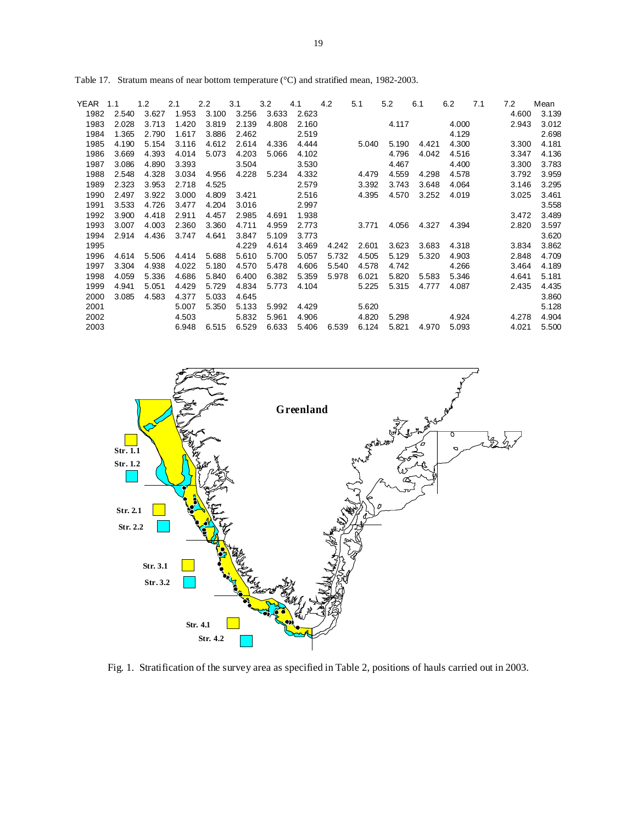| YEAR | 1.1   | 1.2   | 2.1   | 2.2   | 3.1   | 3.2   | 4.1   | 4.2   | 5.1   |       | 5.2   | 6.1   | 6.2   | 7.1 | 7.2   | Mean  |
|------|-------|-------|-------|-------|-------|-------|-------|-------|-------|-------|-------|-------|-------|-----|-------|-------|
| 1982 | 2.540 | 3.627 | 1.953 | 3.100 | 3.256 | 3.633 | 2.623 |       |       |       |       |       |       |     | 4.600 | 3.139 |
| 1983 | 2.028 | 3.713 | 1.420 | 3.819 | 2.139 | 4.808 | 2.160 |       |       |       | 4.117 |       | 4.000 |     | 2.943 | 3.012 |
| 1984 | 1.365 | 2.790 | 1.617 | 3.886 | 2.462 |       | 2.519 |       |       |       |       |       | 4.129 |     |       | 2.698 |
| 1985 | 4.190 | 5.154 | 3.116 | 4.612 | 2.614 | 4.336 | 4.444 |       |       | 5.040 | 5.190 | 4.421 | 4.300 |     | 3.300 | 4.181 |
| 1986 | 3.669 | 4.393 | 4.014 | 5.073 | 4.203 | 5.066 | 4.102 |       |       |       | 4.796 | 4.042 | 4.516 |     | 3.347 | 4.136 |
| 1987 | 3.086 | 4.890 | 3.393 |       | 3.504 |       | 3.530 |       |       |       | 4.467 |       | 4.400 |     | 3.300 | 3.783 |
| 1988 | 2.548 | 4.328 | 3.034 | 4.956 | 4.228 | 5.234 | 4.332 |       |       | 4.479 | 4.559 | 4.298 | 4.578 |     | 3.792 | 3.959 |
| 1989 | 2.323 | 3.953 | 2.718 | 4.525 |       |       | 2.579 |       |       | 3.392 | 3.743 | 3.648 | 4.064 |     | 3.146 | 3.295 |
| 1990 | 2.497 | 3.922 | 3.000 | 4.809 | 3.421 |       | 2.516 |       |       | 4.395 | 4.570 | 3.252 | 4.019 |     | 3.025 | 3.461 |
| 1991 | 3.533 | 4.726 | 3.477 | 4.204 | 3.016 |       | 2.997 |       |       |       |       |       |       |     |       | 3.558 |
| 1992 | 3.900 | 4.418 | 2.911 | 4.457 | 2.985 | 4.691 | 1.938 |       |       |       |       |       |       |     | 3.472 | 3.489 |
| 1993 | 3.007 | 4.003 | 2.360 | 3.360 | 4.711 | 4.959 | 2.773 |       |       | 3.771 | 4.056 | 4.327 | 4.394 |     | 2.820 | 3.597 |
| 1994 | 2.914 | 4.436 | 3.747 | 4.641 | 3.847 | 5.109 | 3.773 |       |       |       |       |       |       |     |       | 3.620 |
| 1995 |       |       |       |       | 4.229 | 4.614 | 3.469 |       | 4.242 | 2.601 | 3.623 | 3.683 | 4.318 |     | 3.834 | 3.862 |
| 1996 | 4.614 | 5.506 | 4.414 | 5.688 | 5.610 | 5.700 | 5.057 |       | 5.732 | 4.505 | 5.129 | 5.320 | 4.903 |     | 2.848 | 4.709 |
| 1997 | 3.304 | 4.938 | 4.022 | 5.180 | 4.570 | 5.478 | 4.606 |       | 5.540 | 4.578 | 4.742 |       | 4.266 |     | 3.464 | 4.189 |
| 1998 | 4.059 | 5.336 | 4.686 | 5.840 | 6.400 | 6.382 | 5.359 |       | 5.978 | 6.021 | 5.820 | 5.583 | 5.346 |     | 4.641 | 5.181 |
| 1999 | 4.941 | 5.051 | 4.429 | 5.729 | 4.834 | 5.773 | 4.104 |       |       | 5.225 | 5.315 | 4.777 | 4.087 |     | 2.435 | 4.435 |
| 2000 | 3.085 | 4.583 | 4.377 | 5.033 | 4.645 |       |       |       |       |       |       |       |       |     |       | 3.860 |
| 2001 |       |       | 5.007 | 5.350 | 5.133 | 5.992 | 4.429 |       |       | 5.620 |       |       |       |     |       | 5.128 |
| 2002 |       |       | 4.503 |       | 5.832 | 5.961 | 4.906 |       |       | 4.820 | 5.298 |       | 4.924 |     | 4.278 | 4.904 |
| 2003 |       |       | 6.948 | 6.515 | 6.529 | 6.633 | 5.406 | 6.539 |       | 6.124 | 5.821 | 4.970 | 5.093 |     | 4.021 | 5.500 |
|      |       |       |       |       |       |       |       |       |       |       |       |       |       |     |       |       |

Table 17. Stratum means of near bottom temperature (°C) and stratified mean, 1982-2003.



Fig. 1. Stratification of the survey area as specified in Table 2, positions of hauls carried out in 2003.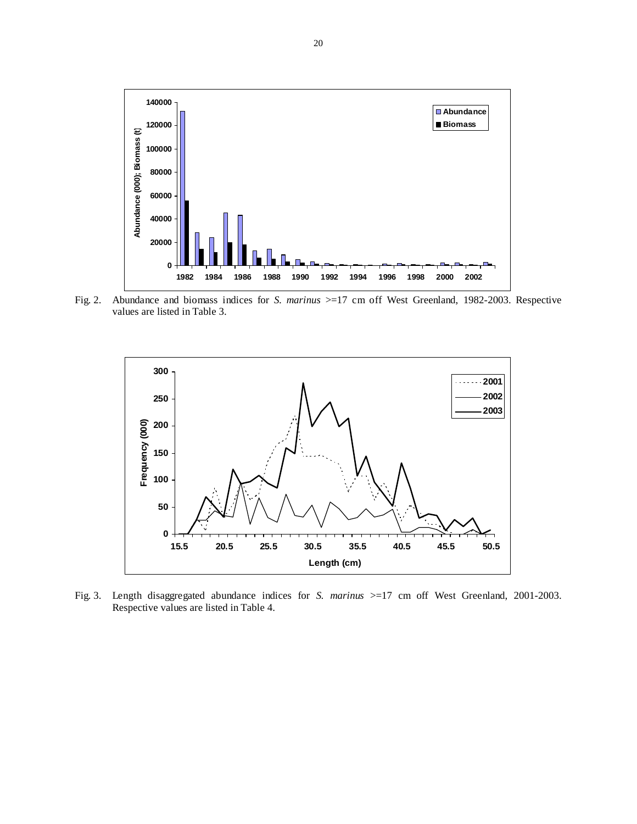

Fig. 2. Abundance and biomass indices for *S. marinus* >=17 cm off West Greenland, 1982-2003. Respective values are listed in Table 3.



Fig. 3. Length disaggregated abundance indices for *S. marinus* >=17 cm off West Greenland, 2001-2003. Respective values are listed in Table 4.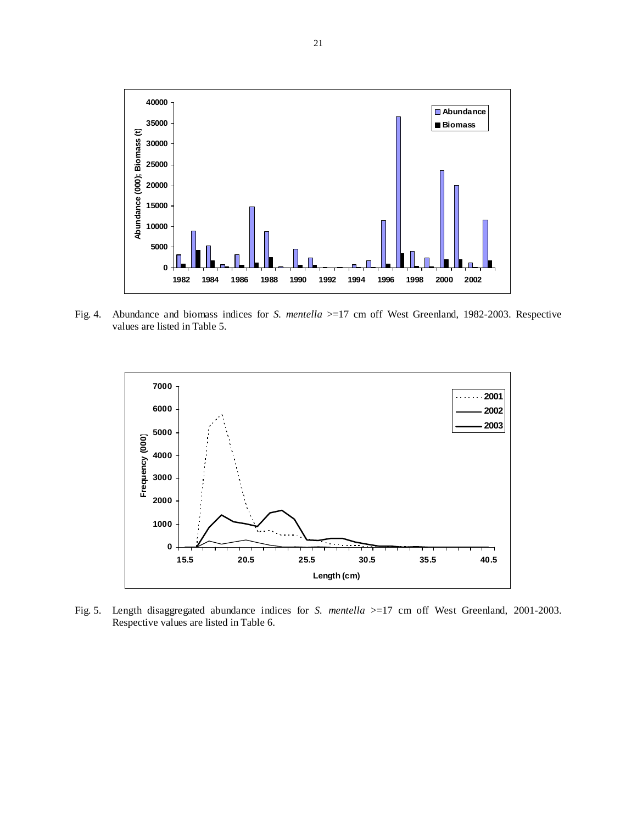

Fig. 4. Abundance and biomass indices for *S. mentella* >=17 cm off West Greenland, 1982-2003. Respective values are listed in Table 5.



Fig. 5. Length disaggregated abundance indices for *S. mentella* >=17 cm off West Greenland, 2001-2003. Respective values are listed in Table 6.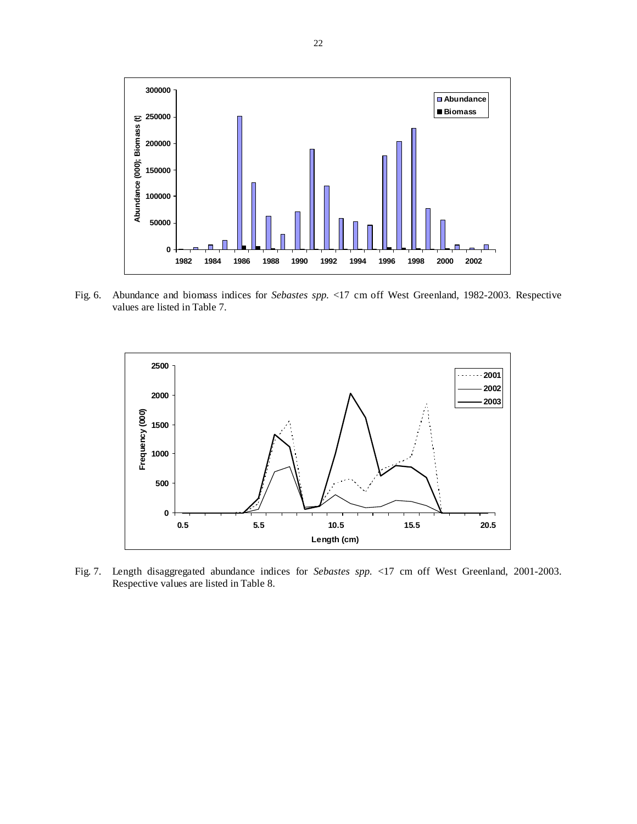

Fig. 6. Abundance and biomass indices for *Sebastes spp.* <17 cm off West Greenland, 1982-2003. Respective values are listed in Table 7.



Fig. 7. Length disaggregated abundance indices for *Sebastes spp.* <17 cm off West Greenland, 2001-2003. Respective values are listed in Table 8.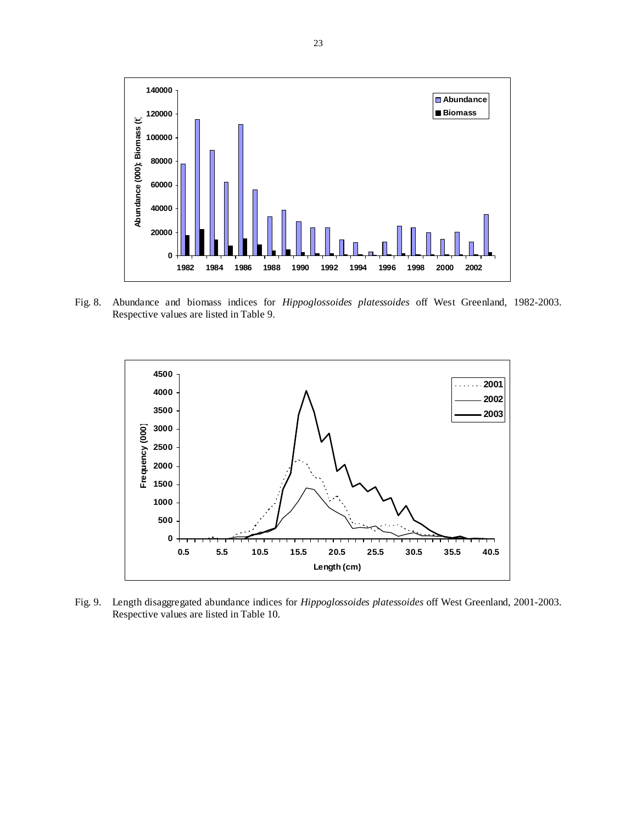

Fig. 8. Abundance and biomass indices for *Hippoglossoides platessoides* off West Greenland, 1982-2003. Respective values are listed in Table 9.



Fig. 9. Length disaggregated abundance indices for *Hippoglossoides platessoides* off West Greenland, 2001-2003. Respective values are listed in Table 10.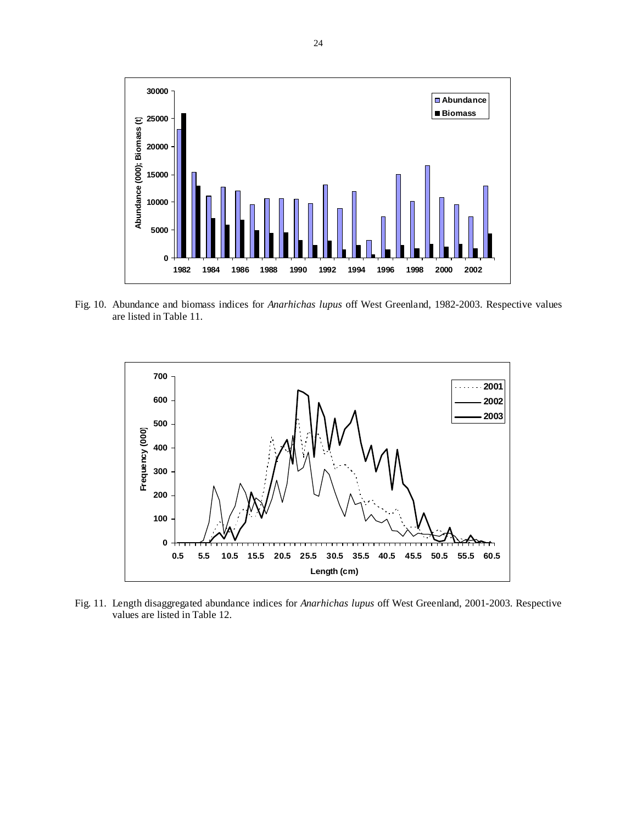

Fig. 10. Abundance and biomass indices for *Anarhichas lupus* off West Greenland, 1982-2003. Respective values are listed in Table 11.



Fig. 11. Length disaggregated abundance indices for *Anarhichas lupus* off West Greenland, 2001-2003. Respective values are listed in Table 12.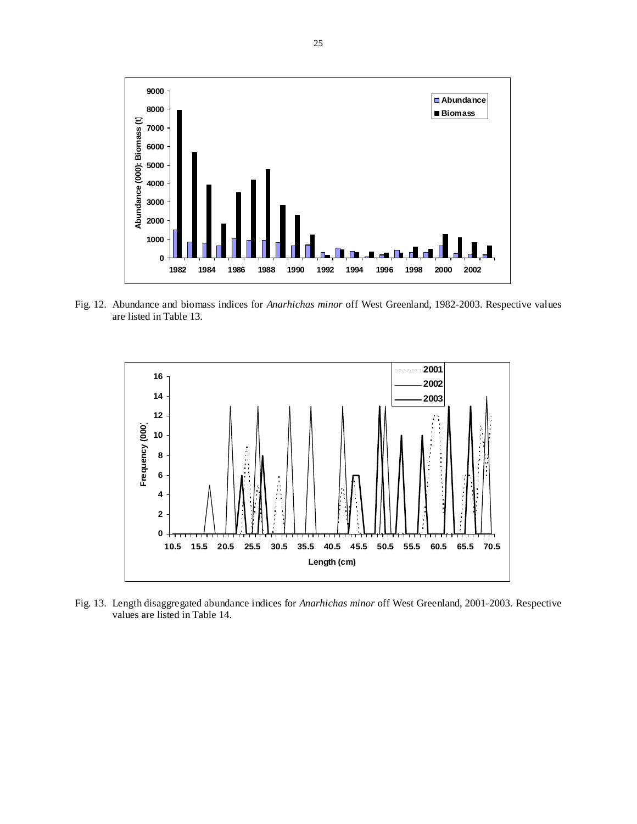

Fig. 12. Abundance and biomass indices for *Anarhichas minor* off West Greenland, 1982-2003. Respective values are listed in Table 13.



Fig. 13. Length disaggregated abundance indices for *Anarhichas minor* off West Greenland, 2001-2003. Respective values are listed in Table 14.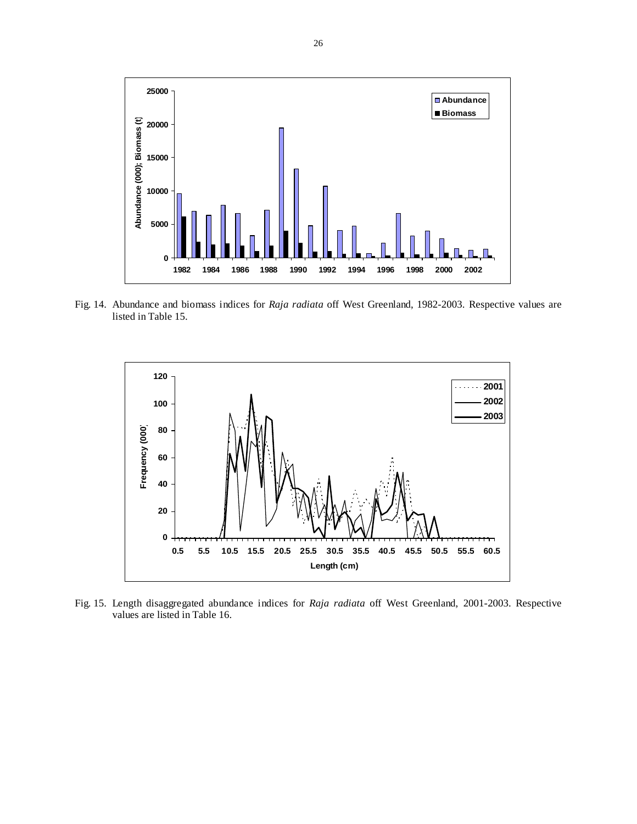

Fig. 14. Abundance and biomass indices for *Raja radiata* off West Greenland, 1982-2003. Respective values are listed in Table 15.



Fig. 15. Length disaggregated abundance indices for *Raja radiata* off West Greenland, 2001-2003. Respective values are listed in Table 16.